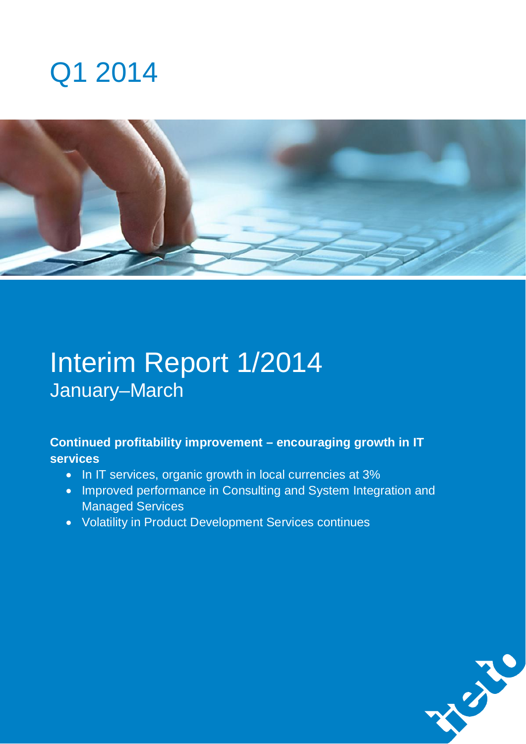



# Interim Report 1/2014 January–March

## **Continued profitability improvement – encouraging growth in IT services**

- In IT services, organic growth in local currencies at 3%
- Improved performance in Consulting and System Integration and Managed Services
- **Volatility in Product Development Services continues**

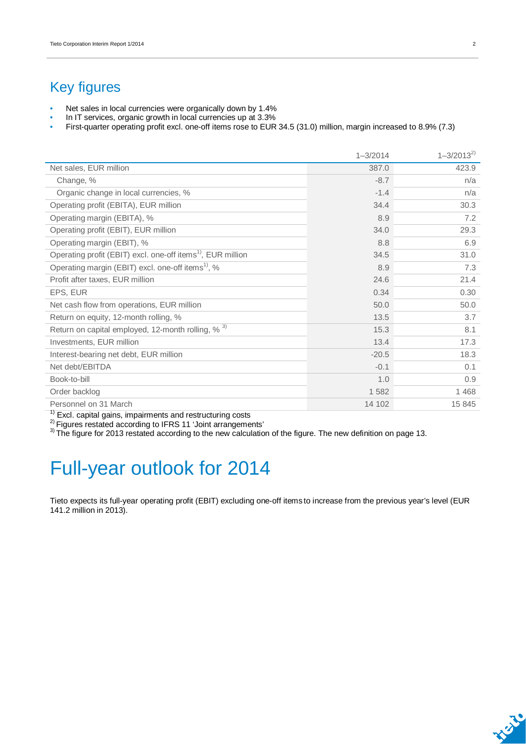## Key figures

- Net sales in local currencies were organically down by 1.4%
- In IT services, organic growth in local currencies up at 3.3%
- First-quarter operating profit excl. one-off items rose to EUR 34.5 (31.0) million, margin increased to 8.9% (7.3)

|                                                                         | $1 - 3/2014$ | $1 - 3/2013^{2}$ |
|-------------------------------------------------------------------------|--------------|------------------|
| Net sales, EUR million                                                  | 387.0        | 423.9            |
| Change, %                                                               | $-8.7$       | n/a              |
| Organic change in local currencies, %                                   | $-1.4$       | n/a              |
| Operating profit (EBITA), EUR million                                   | 34.4         | 30.3             |
| Operating margin (EBITA), %                                             | 8.9          | 7.2              |
| Operating profit (EBIT), EUR million                                    | 34.0         | 29.3             |
| Operating margin (EBIT), %                                              | 8.8          | 6.9              |
| Operating profit (EBIT) excl. one-off items <sup>1)</sup> , EUR million | 34.5         | 31.0             |
| Operating margin (EBIT) excl. one-off items <sup>1)</sup> , %           | 8.9          | 7.3              |
| Profit after taxes, EUR million                                         | 24.6         | 21.4             |
| EPS, EUR                                                                | 0.34         | 0.30             |
| Net cash flow from operations, EUR million                              | 50.0         | 50.0             |
| Return on equity, 12-month rolling, %                                   | 13.5         | 3.7              |
| Return on capital employed, 12-month rolling, % <sup>3)</sup>           | 15.3         | 8.1              |
| Investments, EUR million                                                | 13.4         | 17.3             |
| Interest-bearing net debt, EUR million                                  | $-20.5$      | 18.3             |
| Net debt/EBITDA                                                         | $-0.1$       | 0.1              |
| Book-to-bill                                                            | 1.0          | 0.9              |
| Order backlog                                                           | 1 5 8 2      | 1468             |
| Personnel on 31 March                                                   | 14 102       | 15 845           |

 $1)$  Excl. capital gains, impairments and restructuring costs

 $^{2)}$  Figures restated according to IFRS 11 'Joint arrangements'

 $3$ ) The figure for 2013 restated according to the new calculation of the figure. The new definition on page 13.

# Full-year outlook for 2014

Tieto expects its full-year operating profit (EBIT) excluding one-off items to increase from the previous year's level (EUR 141.2 million in 2013).

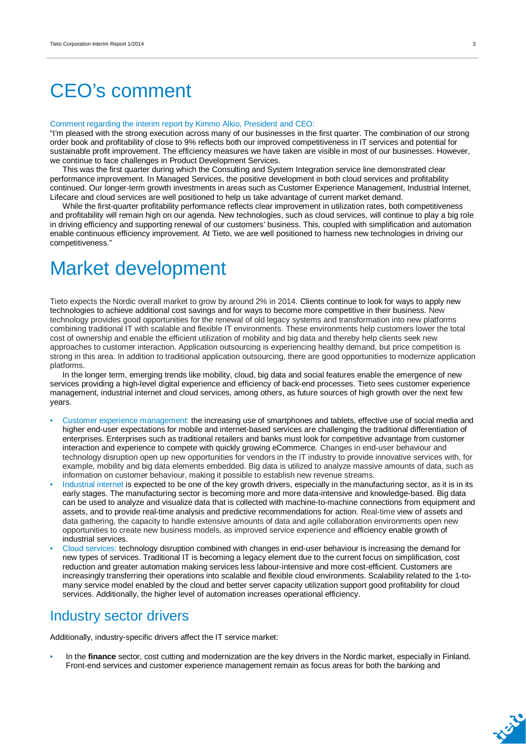# CEO's comment

#### Comment regarding the interim report by Kimmo Alkio, President and CEO:

"I'm pleased with the strong execution across many of our businesses in the first quarter. The combination of our strong order book and profitability of close to 9% reflects both our improved competitiveness in IT services and potential for sustainable profit improvement. The efficiency measures we have taken are visible in most of our businesses. However, we continue to face challenges in Product Development Services.

This was the first quarter during which the Consulting and System Integration service line demonstrated clear performance improvement. In Managed Services, the positive development in both cloud services and profitability continued. Our longer-term growth investments in areas such as Customer Experience Management, Industrial Internet, Lifecare and cloud services are well positioned to help us take advantage of current market demand.

While the first-quarter profitability performance reflects clear improvement in utilization rates, both competitiveness and profitability will remain high on our agenda. New technologies, such as cloud services, will continue to play a big role in driving efficiency and supporting renewal of our customers' business. This, coupled with simplification and automation enable continuous efficiency improvement. At Tieto, we are well positioned to harness new technologies in driving our competitiveness."

# Market development

Tieto expects the Nordic overall market to grow by around 2% in 2014. Clients continue to look for ways to apply new technologies to achieve additional cost savings and for ways to become more competitive in their business. New technology provides good opportunities for the renewal of old legacy systems and transformation into new platforms combining traditional IT with scalable and flexible IT environments. These environments help customers lower the total cost of ownership and enable the efficient utilization of mobility and big data and thereby help clients seek new approaches to customer interaction. Application outsourcing is experiencing healthy demand, but price competition is strong in this area. In addition to traditional application outsourcing, there are good opportunities to modernize application platforms.

In the longer term, emerging trends like mobility, cloud, big data and social features enable the emergence of new services providing a high-level digital experience and efficiency of back-end processes. Tieto sees customer experience management, industrial internet and cloud services, among others, as future sources of high growth over the next few years.

- Customer experience management: the increasing use of smartphones and tablets, effective use of social media and higher end-user expectations for mobile and internet-based services are challenging the traditional differentiation of enterprises. Enterprises such as traditional retailers and banks must look for competitive advantage from customer interaction and experience to compete with quickly growing eCommerce. Changes in end-user behaviour and technology disruption open up new opportunities for vendors in the IT industry to provide innovative services with, for example, mobility and big data elements embedded. Big data is utilized to analyze massive amounts of data, such as information on customer behaviour, making it possible to establish new revenue streams.
- Industrial internet is expected to be one of the key growth drivers, especially in the manufacturing sector, as it is in its early stages. The manufacturing sector is becoming more and more data-intensive and knowledge-based. Big data can be used to analyze and visualize data that is collected with machine-to-machine connections from equipment and assets, and to provide real-time analysis and predictive recommendations for action. Real-time view of assets and data gathering, the capacity to handle extensive amounts of data and agile collaboration environments open new opportunities to create new business models, as improved service experience and efficiency enable growth of industrial services.
- Cloud services: technology disruption combined with changes in end-user behaviour is increasing the demand for new types of services. Traditional IT is becoming a legacy element due to the current focus on simplification, cost reduction and greater automation making services less labour-intensive and more cost-efficient. Customers are increasingly transferring their operations into scalable and flexible cloud environments. Scalability related to the 1-tomany service model enabled by the cloud and better server capacity utilization support good profitability for cloud services. Additionally, the higher level of automation increases operational efficiency.

### Industry sector drivers

Additionally, industry-specific drivers affect the IT service market:

• In the **finance** sector, cost cutting and modernization are the key drivers in the Nordic market, especially in Finland. Front-end services and customer experience management remain as focus areas for both the banking and

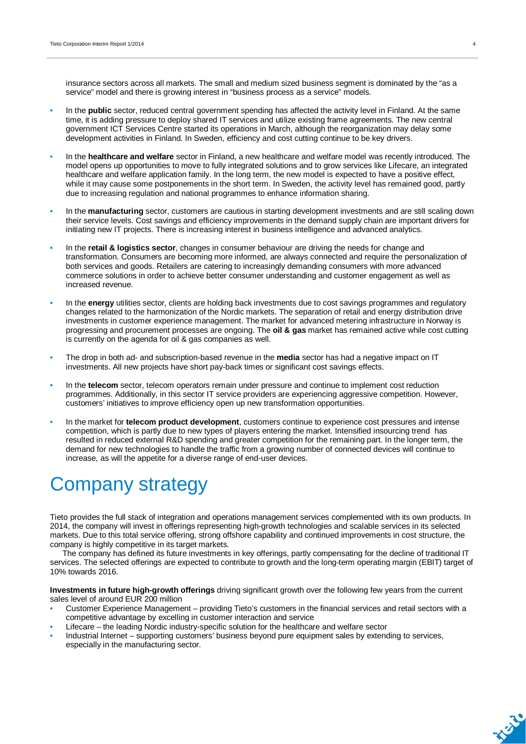insurance sectors across all markets. The small and medium sized business segment is dominated by the "as a service" model and there is growing interest in "business process as a service" models.

- In the **public** sector, reduced central government spending has affected the activity level in Finland. At the same time, it is adding pressure to deploy shared IT services and utilize existing frame agreements. The new central government ICT Services Centre started its operations in March, although the reorganization may delay some development activities in Finland. In Sweden, efficiency and cost cutting continue to be key drivers.
- In the **healthcare and welfare** sector in Finland, a new healthcare and welfare model was recently introduced. The model opens up opportunities to move to fully integrated solutions and to grow services like Lifecare, an integrated healthcare and welfare application family. In the long term, the new model is expected to have a positive effect, while it may cause some postponements in the short term. In Sweden, the activity level has remained good, partly due to increasing regulation and national programmes to enhance information sharing.
- In the **manufacturing** sector, customers are cautious in starting development investments and are still scaling down their service levels. Cost savings and efficiency improvements in the demand supply chain are important drivers for initiating new IT projects. There is increasing interest in business intelligence and advanced analytics.
- In the **retail & logistics sector**, changes in consumer behaviour are driving the needs for change and transformation. Consumers are becoming more informed, are always connected and require the personalization of both services and goods. Retailers are catering to increasingly demanding consumers with more advanced commerce solutions in order to achieve better consumer understanding and customer engagement as well as increased revenue.
- In the **energy** utilities sector, clients are holding back investments due to cost savings programmes and regulatory changes related to the harmonization of the Nordic markets. The separation of retail and energy distribution drive investments in customer experience management. The market for advanced metering infrastructure in Norway is progressing and procurement processes are ongoing. The **oil & gas** market has remained active while cost cutting is currently on the agenda for oil & gas companies as well.
- The drop in both ad- and subscription-based revenue in the **media** sector has had a negative impact on IT investments. All new projects have short pay-back times or significant cost savings effects.
- In the **telecom** sector, telecom operators remain under pressure and continue to implement cost reduction programmes. Additionally, in this sector IT service providers are experiencing aggressive competition. However, customers' initiatives to improve efficiency open up new transformation opportunities.
- In the market for **telecom product development**, customers continue to experience cost pressures and intense competition, which is partly due to new types of players entering the market. Intensified insourcing trend has resulted in reduced external R&D spending and greater competition for the remaining part. In the longer term, the demand for new technologies to handle the traffic from a growing number of connected devices will continue to increase, as will the appetite for a diverse range of end-user devices.

# Company strategy

Tieto provides the full stack of integration and operations management services complemented with its own products. In 2014, the company will invest in offerings representing high-growth technologies and scalable services in its selected markets. Due to this total service offering, strong offshore capability and continued improvements in cost structure, the company is highly competitive in its target markets.

The company has defined its future investments in key offerings, partly compensating for the decline of traditional IT services. The selected offerings are expected to contribute to growth and the long-term operating margin (EBIT) target of 10% towards 2016.

**Investments in future high-growth offerings** driving significant growth over the following few years from the current sales level of around EUR 200 million

- Customer Experience Management providing Tieto's customers in the financial services and retail sectors with a competitive advantage by excelling in customer interaction and service
- Lifecare the leading Nordic industry-specific solution for the healthcare and welfare sector
- Industrial Internet supporting customers' business beyond pure equipment sales by extending to services, especially in the manufacturing sector.

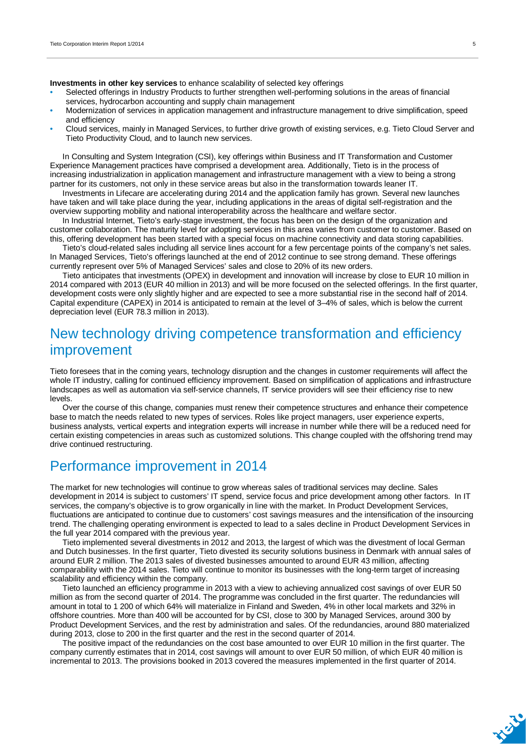**Investments in other key services** to enhance scalability of selected key offerings

- Selected offerings in Industry Products to further strengthen well-performing solutions in the areas of financial services, hydrocarbon accounting and supply chain management
- Modernization of services in application management and infrastructure management to drive simplification, speed and efficiency
- Cloud services, mainly in Managed Services, to further drive growth of existing services, e.g. Tieto Cloud Server and Tieto Productivity Cloud, and to launch new services.

In Consulting and System Integration (CSI), key offerings within Business and IT Transformation and Customer Experience Management practices have comprised a development area. Additionally, Tieto is in the process of increasing industrialization in application management and infrastructure management with a view to being a strong partner for its customers, not only in these service areas but also in the transformation towards leaner IT.

Investments in Lifecare are accelerating during 2014 and the application family has grown. Several new launches have taken and will take place during the year, including applications in the areas of digital self-registration and the overview supporting mobility and national interoperability across the healthcare and welfare sector.

In Industrial Internet, Tieto's early-stage investment, the focus has been on the design of the organization and customer collaboration. The maturity level for adopting services in this area varies from customer to customer. Based on this, offering development has been started with a special focus on machine connectivity and data storing capabilities.

Tieto's cloud-related sales including all service lines account for a few percentage points of the company's net sales. In Managed Services, Tieto's offerings launched at the end of 2012 continue to see strong demand. These offerings currently represent over 5% of Managed Services' sales and close to 20% of its new orders.

Tieto anticipates that investments (OPEX) in development and innovation will increase by close to EUR 10 million in 2014 compared with 2013 (EUR 40 million in 2013) and will be more focused on the selected offerings. In the first quarter, development costs were only slightly higher and are expected to see a more substantial rise in the second half of 2014. Capital expenditure (CAPEX) in 2014 is anticipated to remain at the level of 3–4% of sales, which is below the current depreciation level (EUR 78.3 million in 2013).

## New technology driving competence transformation and efficiency improvement

Tieto foresees that in the coming years, technology disruption and the changes in customer requirements will affect the whole IT industry, calling for continued efficiency improvement. Based on simplification of applications and infrastructure landscapes as well as automation via self-service channels, IT service providers will see their efficiency rise to new levels.

Over the course of this change, companies must renew their competence structures and enhance their competence base to match the needs related to new types of services. Roles like project managers, user experience experts, business analysts, vertical experts and integration experts will increase in number while there will be a reduced need for certain existing competencies in areas such as customized solutions. This change coupled with the offshoring trend may drive continued restructuring.

### Performance improvement in 2014

The market for new technologies will continue to grow whereas sales of traditional services may decline. Sales development in 2014 is subject to customers' IT spend, service focus and price development among other factors. In IT services, the company's objective is to grow organically in line with the market. In Product Development Services, fluctuations are anticipated to continue due to customers' cost savings measures and the intensification of the insourcing trend. The challenging operating environment is expected to lead to a sales decline in Product Development Services in the full year 2014 compared with the previous year.

Tieto implemented several divestments in 2012 and 2013, the largest of which was the divestment of local German and Dutch businesses. In the first quarter, Tieto divested its security solutions business in Denmark with annual sales of around EUR 2 million. The 2013 sales of divested businesses amounted to around EUR 43 million, affecting comparability with the 2014 sales. Tieto will continue to monitor its businesses with the long-term target of increasing scalability and efficiency within the company.

Tieto launched an efficiency programme in 2013 with a view to achieving annualized cost savings of over EUR 50 million as from the second quarter of 2014. The programme was concluded in the first quarter. The redundancies will amount in total to 1 200 of which 64% will materialize in Finland and Sweden, 4% in other local markets and 32% in offshore countries. More than 400 will be accounted for by CSI, close to 300 by Managed Services, around 300 by Product Development Services, and the rest by administration and sales. Of the redundancies, around 880 materialized during 2013, close to 200 in the first quarter and the rest in the second quarter of 2014.

The positive impact of the redundancies on the cost base amounted to over EUR 10 million in the first quarter. The company currently estimates that in 2014, cost savings will amount to over EUR 50 million, of which EUR 40 million is incremental to 2013. The provisions booked in 2013 covered the measures implemented in the first quarter of 2014.

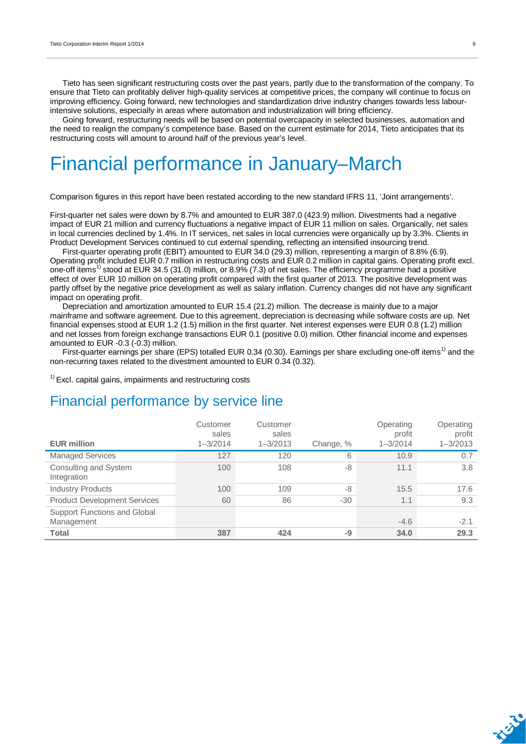Tieto has seen significant restructuring costs over the past years, partly due to the transformation of the company. To ensure that Tieto can profitably deliver high-quality services at competitive prices, the company will continue to focus on improving efficiency. Going forward, new technologies and standardization drive industry changes towards less labourintensive solutions, especially in areas where automation and industrialization will bring efficiency.

Going forward, restructuring needs will be based on potential overcapacity in selected businesses, automation and the need to realign the company's competence base. Based on the current estimate for 2014, Tieto anticipates that its restructuring costs will amount to around half of the previous year's level.

# Financial performance in January–March

Comparison figures in this report have been restated according to the new standard IFRS 11, 'Joint arrangements'.

First-quarter net sales were down by 8.7% and amounted to EUR 387.0 (423.9) million. Divestments had a negative impact of EUR 21 million and currency fluctuations a negative impact of EUR 11 million on sales. Organically, net sales in local currencies declined by 1.4%. In IT services, net sales in local currencies were organically up by 3.3%. Clients in Product Development Services continued to cut external spending, reflecting an intensified insourcing trend.

First-quarter operating profit (EBIT) amounted to EUR 34.0 (29.3) million, representing a margin of 8.8% (6.9). Operating profit included EUR 0.7 million in restructuring costs and EUR 0.2 million in capital gains. Operating profit excl. one-off items<sup>1)</sup> stood at EUR 34.5 (31.0) million, or 8.9% (7.3) of net sales. The efficiency programme had a positive effect of over EUR 10 million on operating profit compared with the first quarter of 2013. The positive development was partly offset by the negative price development as well as salary inflation. Currency changes did not have any significant impact on operating profit.

Depreciation and amortization amounted to EUR 15.4 (21.2) million. The decrease is mainly due to a major mainframe and software agreement. Due to this agreement, depreciation is decreasing while software costs are up. Net financial expenses stood at EUR 1.2 (1.5) million in the first quarter. Net interest expenses were EUR 0.8 (1.2) million and net losses from foreign exchange transactions EUR 0.1 (positive 0.0) million. Other financial income and expenses amounted to EUR -0.3 (-0.3) million.

First-quarter earnings per share (EPS) totalled EUR 0.34 (0.30). Earnings per share excluding one-off items<sup>1)</sup> and the non-recurring taxes related to the divestment amounted to EUR 0.34 (0.32).

 $1)$  Excl. capital gains, impairments and restructuring costs

### Financial performance by service line

| <b>EUR million</b>                                | Customer<br>sales<br>$1 - 3/2014$ | Customer<br>sales<br>$1 - 3/2013$ | Change, % | Operating<br>profit<br>$1 - 3/2014$ | Operating<br>profit<br>$1 - 3/2013$ |
|---------------------------------------------------|-----------------------------------|-----------------------------------|-----------|-------------------------------------|-------------------------------------|
| <b>Managed Services</b>                           | 127                               | 120                               | 6         | 10.9                                | 0.7                                 |
| Consulting and System<br>Integration              | 100                               | 108                               | -8        | 11.1                                | 3.8                                 |
| <b>Industry Products</b>                          | 100                               | 109                               | -8        | 15.5                                | 17.6                                |
| <b>Product Development Services</b>               | 60                                | 86                                | $-30$     | 1.1                                 | 9.3                                 |
| <b>Support Functions and Global</b><br>Management |                                   |                                   |           | $-4.6$                              | $-2.1$                              |
| <b>Total</b>                                      | 387                               | 424                               | -9        | 34.0                                | 29.3                                |

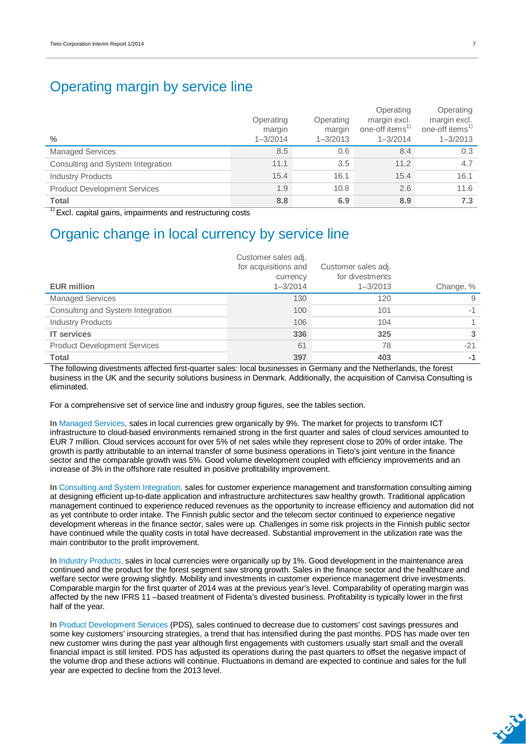## Operating margin by service line

| $\frac{0}{0}$                       | Operating<br>margin<br>$1 - 3/2014$ | Operating<br>margin<br>$1 - 3/2013$ | Operating<br>margin excl.<br>one-off items <sup>1)</sup><br>$1 - 3/2014$ | Operating<br>margin excl.<br>one-off items <sup>1)</sup><br>$1 - 3/2013$ |
|-------------------------------------|-------------------------------------|-------------------------------------|--------------------------------------------------------------------------|--------------------------------------------------------------------------|
| <b>Managed Services</b>             | 8.5                                 | 0.6                                 | 8.4                                                                      | 0.3                                                                      |
| Consulting and System Integration   | 11.1                                | 3.5                                 | 11.2                                                                     | 4.7                                                                      |
| <b>Industry Products</b>            | 15.4                                | 16.1                                | 15.4                                                                     | 16.1                                                                     |
| <b>Product Development Services</b> | 1.9                                 | 10.8                                | 2.6                                                                      | 11.6                                                                     |
| <b>Total</b>                        | 8.8                                 | 6.9                                 | 8.9                                                                      | 7.3                                                                      |

 $1)$  Excl. capital gains, impairments and restructuring costs

### Organic change in local currency by service line

| <b>EUR million</b>                  | Customer sales adj.<br>for acquisitions and<br>currency<br>$1 - 3/2014$ | Customer sales adj.<br>for divestments<br>$1 - 3/2013$ | Change, % |
|-------------------------------------|-------------------------------------------------------------------------|--------------------------------------------------------|-----------|
| <b>Managed Services</b>             | 130                                                                     | 120                                                    | 9         |
| Consulting and System Integration   | 100                                                                     | 101                                                    | $-1$      |
| <b>Industry Products</b>            | 106                                                                     | 104                                                    |           |
| <b>IT services</b>                  | 336                                                                     | 325                                                    | 3         |
| <b>Product Development Services</b> | 61                                                                      | 78                                                     | $-21$     |
| <b>Total</b>                        | 397                                                                     | 403                                                    | $-1$      |

The following divestments affected first-quarter sales: local businesses in Germany and the Netherlands, the forest business in the UK and the security solutions business in Denmark. Additionally, the acquisition of Canvisa Consulting is eliminated.

For a comprehensive set of service line and industry group figures, see the tables section.

In Managed Services, sales in local currencies grew organically by 9%. The market for projects to transform ICT infrastructure to cloud-based environments remained strong in the first quarter and sales of cloud services amounted to EUR 7 million. Cloud services account for over 5% of net sales while they represent close to 20% of order intake. The growth is partly attributable to an internal transfer of some business operations in Tieto's joint venture in the finance sector and the comparable growth was 5%. Good volume development coupled with efficiency improvements and an increase of 3% in the offshore rate resulted in positive profitability improvement.

In Consulting and System Integration, sales for customer experience management and transformation consulting aiming at designing efficient up-to-date application and infrastructure architectures saw healthy growth. Traditional application management continued to experience reduced revenues as the opportunity to increase efficiency and automation did not as yet contribute to order intake. The Finnish public sector and the telecom sector continued to experience negative development whereas in the finance sector, sales were up. Challenges in some risk projects in the Finnish public sector have continued while the quality costs in total have decreased. Substantial improvement in the utilization rate was the main contributor to the profit improvement.

In Industry Products, sales in local currencies were organically up by 1%. Good development in the maintenance area continued and the product for the forest segment saw strong growth. Sales in the finance sector and the healthcare and welfare sector were growing slightly. Mobility and investments in customer experience management drive investments. Comparable margin for the first quarter of 2014 was at the previous year's level. Comparability of operating margin was affected by the new IFRS 11 –based treatment of Fidenta's divested business. Profitability is typically lower in the first half of the year.

In Product Development Services (PDS), sales continued to decrease due to customers' cost savings pressures and some key customers' insourcing strategies, a trend that has intensified during the past months. PDS has made over ten new customer wins during the past year although first engagements with customers usually start small and the overall financial impact is still limited. PDS has adjusted its operations during the past quarters to offset the negative impact of the volume drop and these actions will continue. Fluctuations in demand are expected to continue and sales for the full year are expected to decline from the 2013 level.

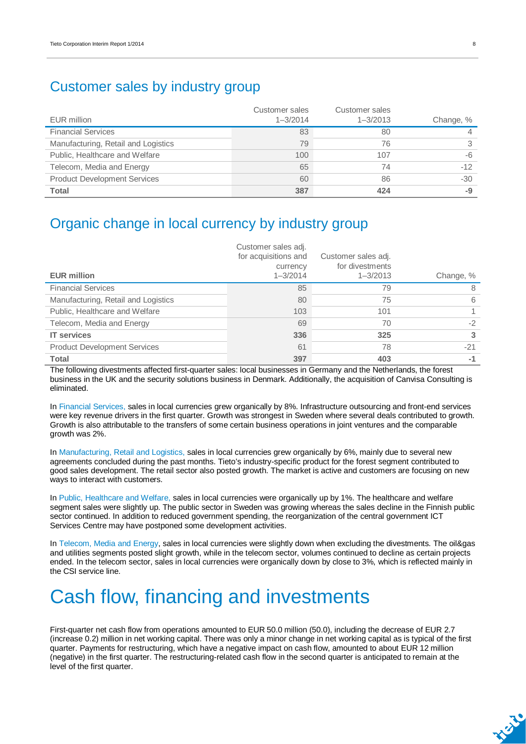### Customer sales by industry group

| EUR million                         | Customer sales<br>$1 - 3/2014$ | Customer sales<br>$1 - 3/2013$ | Change, % |
|-------------------------------------|--------------------------------|--------------------------------|-----------|
| <b>Financial Services</b>           | 83                             | 80                             |           |
| Manufacturing, Retail and Logistics | 79                             | 76                             |           |
| Public, Healthcare and Welfare      | 100                            | 107                            | -6        |
| Telecom, Media and Energy           | 65                             | 74                             | $-12$     |
| <b>Product Development Services</b> | 60                             | 86                             | $-30$     |
| <b>Total</b>                        | 387                            | 424                            | -9        |

## Organic change in local currency by industry group

| <b>EUR million</b>                  | Customer sales adj.<br>for acquisitions and<br>currency<br>$1 - 3/2014$ | Customer sales adj.<br>for divestments<br>$1 - 3/2013$ | Change, % |
|-------------------------------------|-------------------------------------------------------------------------|--------------------------------------------------------|-----------|
| <b>Financial Services</b>           | 85                                                                      | 79                                                     | 8         |
| Manufacturing, Retail and Logistics | 80                                                                      | 75                                                     | 6         |
| Public, Healthcare and Welfare      | 103                                                                     | 101                                                    |           |
| Telecom, Media and Energy           | 69                                                                      | 70                                                     | $-2$      |
| <b>IT services</b>                  | 336                                                                     | 325                                                    | 3         |
| <b>Product Development Services</b> | 61                                                                      | 78                                                     | $-21$     |
| <b>Total</b>                        | 397                                                                     | 403                                                    | $-1$      |

The following divestments affected first-quarter sales: local businesses in Germany and the Netherlands, the forest business in the UK and the security solutions business in Denmark. Additionally, the acquisition of Canvisa Consulting is eliminated.

In Financial Services, sales in local currencies grew organically by 8%. Infrastructure outsourcing and front-end services were key revenue drivers in the first quarter. Growth was strongest in Sweden where several deals contributed to growth. Growth is also attributable to the transfers of some certain business operations in joint ventures and the comparable growth was 2%.

In Manufacturing, Retail and Logistics, sales in local currencies grew organically by 6%, mainly due to several new agreements concluded during the past months. Tieto's industry-specific product for the forest segment contributed to good sales development. The retail sector also posted growth. The market is active and customers are focusing on new ways to interact with customers.

In Public, Healthcare and Welfare, sales in local currencies were organically up by 1%. The healthcare and welfare segment sales were slightly up. The public sector in Sweden was growing whereas the sales decline in the Finnish public sector continued. In addition to reduced government spending, the reorganization of the central government ICT Services Centre may have postponed some development activities.

In Telecom, Media and Energy, sales in local currencies were slightly down when excluding the divestments. The oil&gas and utilities segments posted slight growth, while in the telecom sector, volumes continued to decline as certain projects ended. In the telecom sector, sales in local currencies were organically down by close to 3%, which is reflected mainly in the CSI service line.

# Cash flow, financing and investments

First-quarter net cash flow from operations amounted to EUR 50.0 million (50.0), including the decrease of EUR 2.7 (increase 0.2) million in net working capital. There was only a minor change in net working capital as is typical of the first quarter. Payments for restructuring, which have a negative impact on cash flow, amounted to about EUR 12 million (negative) in the first quarter. The restructuring-related cash flow in the second quarter is anticipated to remain at the level of the first quarter.

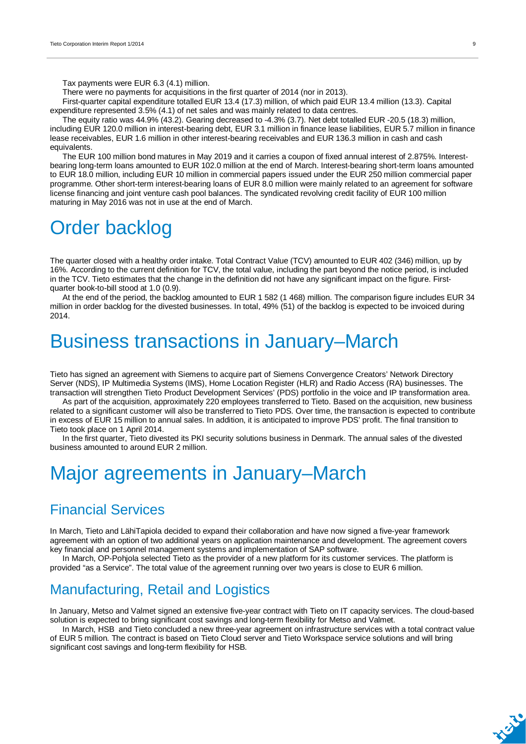Tax payments were EUR 6.3 (4.1) million.

There were no payments for acquisitions in the first quarter of 2014 (nor in 2013).

First-quarter capital expenditure totalled EUR 13.4 (17.3) million, of which paid EUR 13.4 million (13.3). Capital expenditure represented 3.5% (4.1) of net sales and was mainly related to data centres.

The equity ratio was 44.9% (43.2). Gearing decreased to -4.3% (3.7). Net debt totalled EUR -20.5 (18.3) million, including EUR 120.0 million in interest-bearing debt, EUR 3.1 million in finance lease liabilities, EUR 5.7 million in finance lease receivables, EUR 1.6 million in other interest-bearing receivables and EUR 136.3 million in cash and cash equivalents.

The EUR 100 million bond matures in May 2019 and it carries a coupon of fixed annual interest of 2.875%. Interestbearing long-term loans amounted to EUR 102.0 million at the end of March. Interest-bearing short-term loans amounted to EUR 18.0 million, including EUR 10 million in commercial papers issued under the EUR 250 million commercial paper programme. Other short-term interest-bearing loans of EUR 8.0 million were mainly related to an agreement for software license financing and joint venture cash pool balances. The syndicated revolving credit facility of EUR 100 million maturing in May 2016 was not in use at the end of March.

# Order backlog

The quarter closed with a healthy order intake. Total Contract Value (TCV) amounted to EUR 402 (346) million, up by 16%. According to the current definition for TCV, the total value, including the part beyond the notice period, is included in the TCV. Tieto estimates that the change in the definition did not have any significant impact on the figure. Firstquarter book-to-bill stood at 1.0 (0.9).

At the end of the period, the backlog amounted to EUR 1 582 (1 468) million. The comparison figure includes EUR 34 million in order backlog for the divested businesses. In total, 49% (51) of the backlog is expected to be invoiced during 2014.

# Business transactions in January–March

Tieto has signed an agreement with Siemens to acquire part of Siemens Convergence Creators' Network Directory Server (NDS), IP Multimedia Systems (IMS), Home Location Register (HLR) and Radio Access (RA) businesses. The transaction will strengthen Tieto Product Development Services' (PDS) portfolio in the voice and IP transformation area.

As part of the acquisition, approximately 220 employees transferred to Tieto. Based on the acquisition, new business related to a significant customer will also be transferred to Tieto PDS. Over time, the transaction is expected to contribute in excess of EUR 15 million to annual sales. In addition, it is anticipated to improve PDS' profit. The final transition to Tieto took place on 1 April 2014.

In the first quarter, Tieto divested its PKI security solutions business in Denmark. The annual sales of the divested business amounted to around EUR 2 million.

# Major agreements in January–March

### Financial Services

In March, Tieto and LähiTapiola decided to expand their collaboration and have now signed a five-year framework agreement with an option of two additional years on application maintenance and development. The agreement covers key financial and personnel management systems and implementation of SAP software.

In March, OP-Pohjola selected Tieto as the provider of a new platform for its customer services. The platform is provided "as a Service". The total value of the agreement running over two years is close to EUR 6 million.

## Manufacturing, Retail and Logistics

In January, Metso and Valmet signed an extensive five-year contract with Tieto on IT capacity services. The cloud-based solution is expected to bring significant cost savings and long-term flexibility for Metso and Valmet.

In March, HSB and Tieto concluded a new three-year agreement on infrastructure services with a total contract value of EUR 5 million. The contract is based on Tieto Cloud server and Tieto Workspace service solutions and will bring significant cost savings and long-term flexibility for HSB.

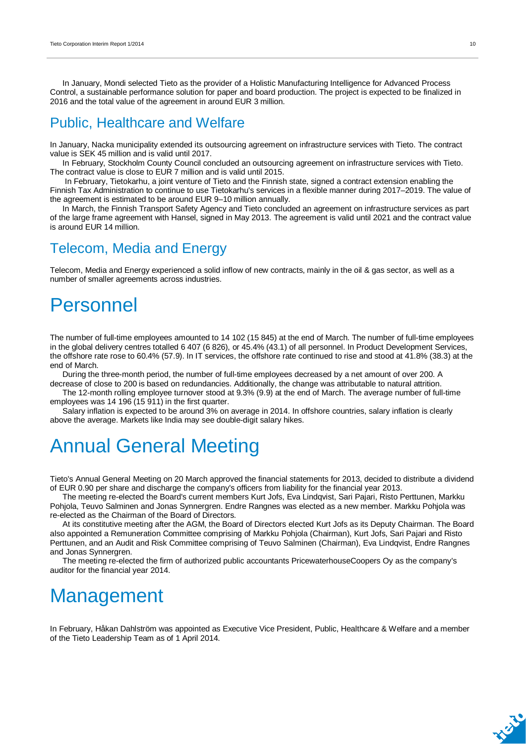In January, Mondi selected Tieto as the provider of a Holistic Manufacturing Intelligence for Advanced Process Control, a sustainable performance solution for paper and board production. The project is expected to be finalized in 2016 and the total value of the agreement in around EUR 3 million.

### Public, Healthcare and Welfare

In January, Nacka municipality extended its outsourcing agreement on infrastructure services with Tieto. The contract value is SEK 45 million and is valid until 2017.

In February, Stockholm County Council concluded an outsourcing agreement on infrastructure services with Tieto. The contract value is close to EUR 7 million and is valid until 2015.

 In February, Tietokarhu, a joint venture of Tieto and the Finnish state, signed a contract extension enabling the Finnish Tax Administration to continue to use Tietokarhu's services in a flexible manner during 2017–2019. The value of the agreement is estimated to be around EUR 9–10 million annually.

In March, the Finnish Transport Safety Agency and Tieto concluded an agreement on infrastructure services as part of the large frame agreement with Hansel, signed in May 2013. The agreement is valid until 2021 and the contract value is around EUR 14 million.

### Telecom, Media and Energy

Telecom, Media and Energy experienced a solid inflow of new contracts, mainly in the oil & gas sector, as well as a number of smaller agreements across industries.

# Personnel

The number of full-time employees amounted to 14 102 (15 845) at the end of March. The number of full-time employees in the global delivery centres totalled 6 407 (6 826), or 45.4% (43.1) of all personnel. In Product Development Services, the offshore rate rose to 60.4% (57.9). In IT services, the offshore rate continued to rise and stood at 41.8% (38.3) at the end of March.

During the three-month period, the number of full-time employees decreased by a net amount of over 200. A decrease of close to 200 is based on redundancies. Additionally, the change was attributable to natural attrition.

The 12-month rolling employee turnover stood at 9.3% (9.9) at the end of March. The average number of full-time employees was 14 196 (15 911) in the first quarter.

Salary inflation is expected to be around 3% on average in 2014. In offshore countries, salary inflation is clearly above the average. Markets like India may see double-digit salary hikes.

# Annual General Meeting

Tieto's Annual General Meeting on 20 March approved the financial statements for 2013, decided to distribute a dividend of EUR 0.90 per share and discharge the company's officers from liability for the financial year 2013.

The meeting re-elected the Board's current members Kurt Jofs, Eva Lindqvist, Sari Pajari, Risto Perttunen, Markku Pohjola, Teuvo Salminen and Jonas Synnergren. Endre Rangnes was elected as a new member. Markku Pohjola was re-elected as the Chairman of the Board of Directors.

At its constitutive meeting after the AGM, the Board of Directors elected Kurt Jofs as its Deputy Chairman. The Board also appointed a Remuneration Committee comprising of Markku Pohjola (Chairman), Kurt Jofs, Sari Pajari and Risto Perttunen, and an Audit and Risk Committee comprising of Teuvo Salminen (Chairman), Eva Lindqvist, Endre Rangnes and Jonas Synnergren.

The meeting re-elected the firm of authorized public accountants PricewaterhouseCoopers Oy as the company's auditor for the financial year 2014.

# **Management**

In February, Håkan Dahlström was appointed as Executive Vice President, Public, Healthcare & Welfare and a member of the Tieto Leadership Team as of 1 April 2014.

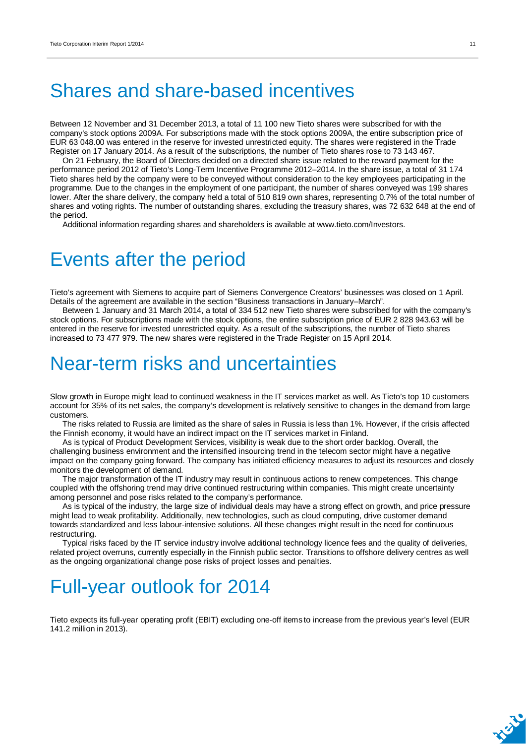# Shares and share-based incentives

Between 12 November and 31 December 2013, a total of 11 100 new Tieto shares were subscribed for with the company's stock options 2009A. For subscriptions made with the stock options 2009A, the entire subscription price of EUR 63 048.00 was entered in the reserve for invested unrestricted equity. The shares were registered in the Trade Register on 17 January 2014. As a result of the subscriptions, the number of Tieto shares rose to 73 143 467.

On 21 February, the Board of Directors decided on a directed share issue related to the reward payment for the performance period 2012 of Tieto's Long-Term Incentive Programme 2012–2014. In the share issue, a total of 31 174 Tieto shares held by the company were to be conveyed without consideration to the key employees participating in the programme. Due to the changes in the employment of one participant, the number of shares conveyed was 199 shares lower. After the share delivery, the company held a total of 510 819 own shares, representing 0.7% of the total number of shares and voting rights. The number of outstanding shares, excluding the treasury shares, was 72 632 648 at the end of the period.

Additional information regarding shares and shareholders is available at www.tieto.com/Investors.

## Events after the period

Tieto's agreement with Siemens to acquire part of Siemens Convergence Creators' businesses was closed on 1 April. Details of the agreement are available in the section "Business transactions in January–March".

Between 1 January and 31 March 2014, a total of 334 512 new Tieto shares were subscribed for with the company's stock options. For subscriptions made with the stock options, the entire subscription price of EUR 2 828 943.63 will be entered in the reserve for invested unrestricted equity. As a result of the subscriptions, the number of Tieto shares increased to 73 477 979. The new shares were registered in the Trade Register on 15 April 2014.

# Near-term risks and uncertainties

Slow growth in Europe might lead to continued weakness in the IT services market as well. As Tieto's top 10 customers account for 35% of its net sales, the company's development is relatively sensitive to changes in the demand from large customers.

The risks related to Russia are limited as the share of sales in Russia is less than 1%. However, if the crisis affected the Finnish economy, it would have an indirect impact on the IT services market in Finland.

As is typical of Product Development Services, visibility is weak due to the short order backlog. Overall, the challenging business environment and the intensified insourcing trend in the telecom sector might have a negative impact on the company going forward. The company has initiated efficiency measures to adjust its resources and closely monitors the development of demand.

The major transformation of the IT industry may result in continuous actions to renew competences. This change coupled with the offshoring trend may drive continued restructuring within companies. This might create uncertainty among personnel and pose risks related to the company's performance.

As is typical of the industry, the large size of individual deals may have a strong effect on growth, and price pressure might lead to weak profitability. Additionally, new technologies, such as cloud computing, drive customer demand towards standardized and less labour-intensive solutions. All these changes might result in the need for continuous restructuring.

Typical risks faced by the IT service industry involve additional technology licence fees and the quality of deliveries, related project overruns, currently especially in the Finnish public sector. Transitions to offshore delivery centres as well as the ongoing organizational change pose risks of project losses and penalties.

# Full-year outlook for 2014

Tieto expects its full-year operating profit (EBIT) excluding one-off items to increase from the previous year's level (EUR 141.2 million in 2013).

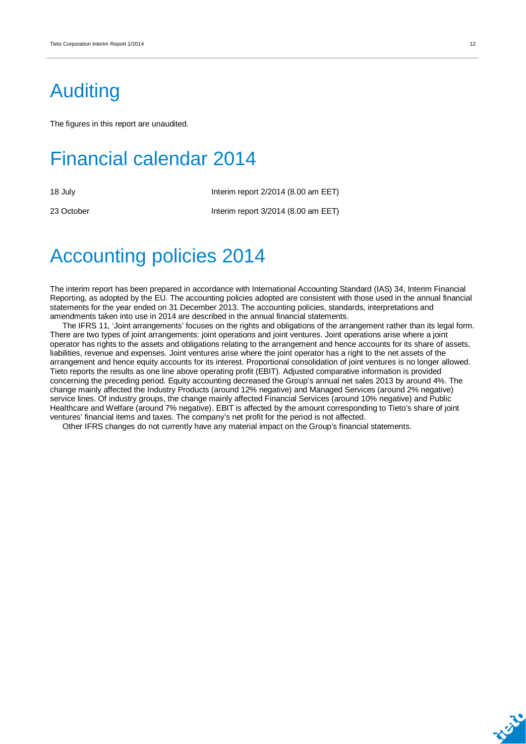# Auditing

The figures in this report are unaudited.

# Financial calendar 2014

18 July 18 July 18 July 18 July 18 July 18 July 18 July 18 July 18 July 18 July 18 July 18 July 18 July 18 July 1

23 October Interim report 3/2014 (8.00 am EET)

# Accounting policies 2014

The interim report has been prepared in accordance with International Accounting Standard (IAS) 34, Interim Financial Reporting, as adopted by the EU. The accounting policies adopted are consistent with those used in the annual financial statements for the year ended on 31 December 2013. The accounting policies, standards, interpretations and amendments taken into use in 2014 are described in the annual financial statements.

The IFRS 11, 'Joint arrangements' focuses on the rights and obligations of the arrangement rather than its legal form. There are two types of joint arrangements: joint operations and joint ventures. Joint operations arise where a joint operator has rights to the assets and obligations relating to the arrangement and hence accounts for its share of assets, liabilities, revenue and expenses. Joint ventures arise where the joint operator has a right to the net assets of the arrangement and hence equity accounts for its interest. Proportional consolidation of joint ventures is no longer allowed. Tieto reports the results as one line above operating profit (EBIT). Adjusted comparative information is provided concerning the preceding period. Equity accounting decreased the Group's annual net sales 2013 by around 4%. The change mainly affected the Industry Products (around 12% negative) and Managed Services (around 2% negative) service lines. Of industry groups, the change mainly affected Financial Services (around 10% negative) and Public Healthcare and Welfare (around 7% negative). EBIT is affected by the amount corresponding to Tieto's share of joint ventures' financial items and taxes. The company's net profit for the period is not affected.

Other IFRS changes do not currently have any material impact on the Group's financial statements.



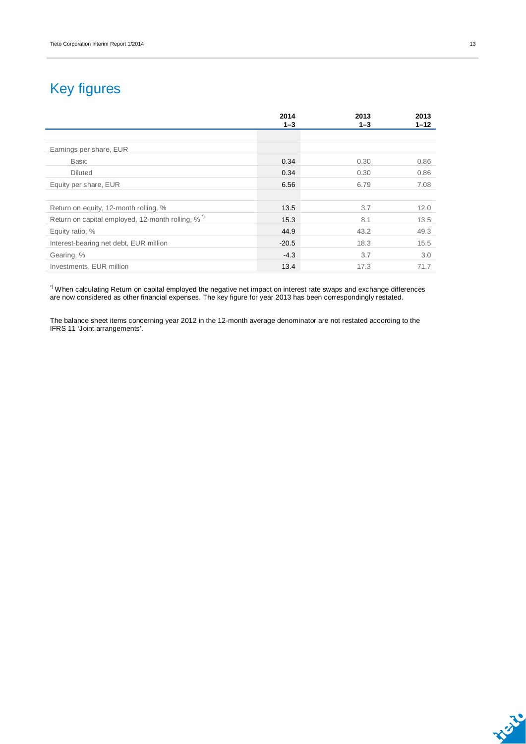# Key figures

|                                                              | 2014<br>$1 - 3$ | 2013<br>$1 - 3$ | 2013<br>$1 - 12$ |
|--------------------------------------------------------------|-----------------|-----------------|------------------|
|                                                              |                 |                 |                  |
| Earnings per share, EUR                                      |                 |                 |                  |
| Basic                                                        | 0.34            | 0.30            | 0.86             |
| <b>Diluted</b>                                               | 0.34            | 0.30            | 0.86             |
| Equity per share, EUR                                        | 6.56            | 6.79            | 7.08             |
|                                                              |                 |                 |                  |
| Return on equity, 12-month rolling, %                        | 13.5            | 3.7             | 12.0             |
| Return on capital employed, 12-month rolling, % <sup>*</sup> | 15.3            | 8.1             | 13.5             |
| Equity ratio, %                                              | 44.9            | 43.2            | 49.3             |
| Interest-bearing net debt, EUR million                       | $-20.5$         | 18.3            | 15.5             |
| Gearing, %                                                   | $-4.3$          | 3.7             | 3.0              |
| Investments, EUR million                                     | 13.4            | 17.3            | 71.7             |

\*) When calculating Return on capital employed the negative net impact on interest rate swaps and exchange differences are now considered as other financial expenses. The key figure for year 2013 has been correspondingly restated.

The balance sheet items concerning year 2012 in the 12-month average denominator are not restated according to the IFRS 11 'Joint arrangements'.

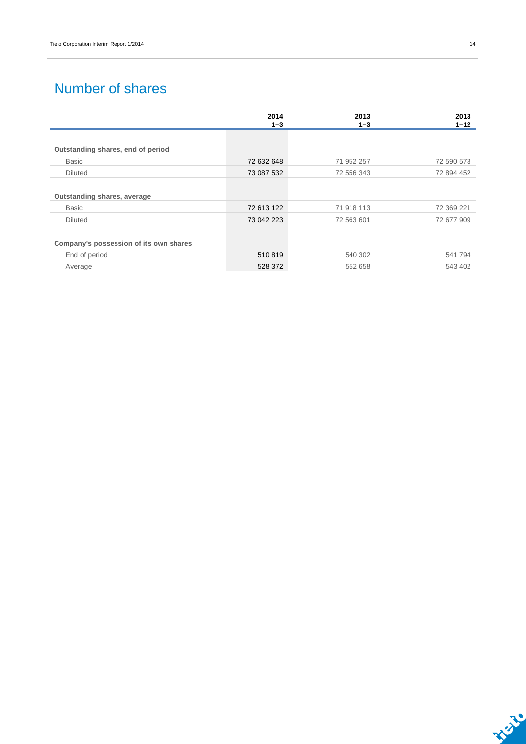## Number of shares

|                                        | 2014       | 2013       | 2013       |
|----------------------------------------|------------|------------|------------|
|                                        | $1 - 3$    | $1 - 3$    | $1 - 12$   |
| Outstanding shares, end of period      |            |            |            |
| <b>Basic</b>                           | 72 632 648 | 71 952 257 | 72 590 573 |
| <b>Diluted</b>                         | 73 087 532 | 72 556 343 | 72 894 452 |
|                                        |            |            |            |
| Outstanding shares, average            |            |            |            |
| <b>Basic</b>                           | 72 613 122 | 71 918 113 | 72 369 221 |
| <b>Diluted</b>                         | 73 042 223 | 72 563 601 | 72 677 909 |
|                                        |            |            |            |
| Company's possession of its own shares |            |            |            |
| End of period                          | 510819     | 540 302    | 541794     |
| Average                                | 528 372    | 552 658    | 543 402    |

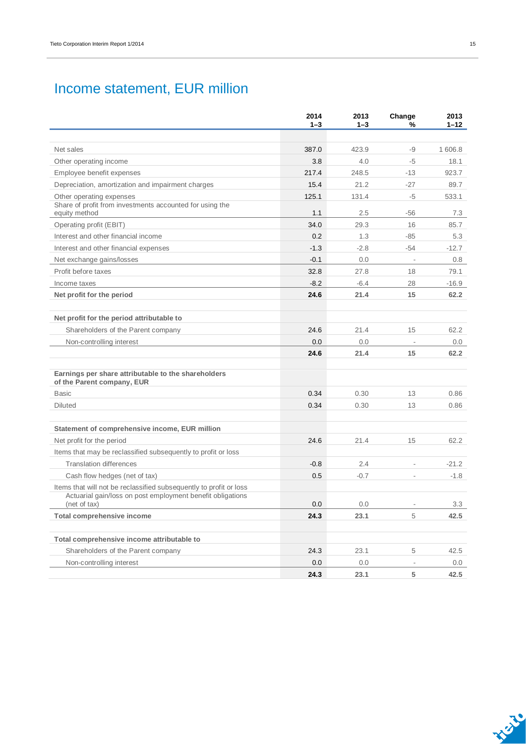## Income statement, EUR million

|                                                                                                                                                  | 2014<br>$1 - 3$ | 2013<br>$1 - 3$ | Change<br>%              | 2013<br>$1 - 12$ |
|--------------------------------------------------------------------------------------------------------------------------------------------------|-----------------|-----------------|--------------------------|------------------|
|                                                                                                                                                  |                 |                 |                          |                  |
| Net sales                                                                                                                                        | 387.0           | 423.9           | -9                       | 1 606.8          |
| Other operating income                                                                                                                           | 3.8             | 4.0             | $-5$                     | 18.1             |
| Employee benefit expenses                                                                                                                        | 217.4           | 248.5           | $-13$                    | 923.7            |
| Depreciation, amortization and impairment charges                                                                                                | 15.4            | 21.2            | $-27$                    | 89.7             |
| Other operating expenses                                                                                                                         | 125.1           | 131.4           | $-5$                     | 533.1            |
| Share of profit from investments accounted for using the<br>equity method                                                                        | 1.1             | 2.5             | $-56$                    | 7.3              |
| Operating profit (EBIT)                                                                                                                          | 34.0            | 29.3            | 16                       | 85.7             |
| Interest and other financial income                                                                                                              | 0.2             | 1.3             | $-85$                    | 5.3              |
| Interest and other financial expenses                                                                                                            | $-1.3$          | $-2.8$          | $-54$                    | $-12.7$          |
| Net exchange gains/losses                                                                                                                        | $-0.1$          | 0.0             | $\overline{\phantom{a}}$ | 0.8              |
| Profit before taxes                                                                                                                              | 32.8            | 27.8            | 18                       | 79.1             |
| Income taxes                                                                                                                                     | $-8.2$          | $-6.4$          | 28                       | $-16.9$          |
| Net profit for the period                                                                                                                        | 24.6            | 21.4            | 15                       | 62.2             |
|                                                                                                                                                  |                 |                 |                          |                  |
| Net profit for the period attributable to                                                                                                        |                 |                 |                          |                  |
| Shareholders of the Parent company                                                                                                               | 24.6            | 21.4            | 15                       | 62.2             |
| Non-controlling interest                                                                                                                         | 0.0             | 0.0             | $\overline{\phantom{a}}$ | 0.0              |
|                                                                                                                                                  | 24.6            | 21.4            | 15                       | 62.2             |
| Earnings per share attributable to the shareholders<br>of the Parent company, EUR                                                                |                 |                 |                          |                  |
| Basic                                                                                                                                            | 0.34            | 0.30            | 13                       | 0.86             |
| Diluted                                                                                                                                          | 0.34            | 0.30            | 13                       | 0.86             |
|                                                                                                                                                  |                 |                 |                          |                  |
| Statement of comprehensive income, EUR million                                                                                                   |                 |                 |                          |                  |
| Net profit for the period                                                                                                                        | 24.6            | 21.4            | 15                       | 62.2             |
| Items that may be reclassified subsequently to profit or loss                                                                                    |                 |                 |                          |                  |
| <b>Translation differences</b>                                                                                                                   | $-0.8$          | 2.4             | $\overline{\phantom{a}}$ | $-21.2$          |
| Cash flow hedges (net of tax)                                                                                                                    | 0.5             | $-0.7$          |                          | $-1.8$           |
| Items that will not be reclassified subsequently to profit or loss<br>Actuarial gain/loss on post employment benefit obligations<br>(net of tax) | 0.0             | 0.0             |                          | 3.3              |
| <b>Total comprehensive income</b>                                                                                                                | 24.3            | 23.1            | 5                        | 42.5             |
|                                                                                                                                                  |                 |                 |                          |                  |
| Total comprehensive income attributable to<br>Shareholders of the Parent company                                                                 | 24.3            | 23.1            | 5                        | 42.5             |
| Non-controlling interest                                                                                                                         | 0.0             | 0.0             | $\overline{\phantom{a}}$ |                  |
|                                                                                                                                                  | 24.3            | 23.1            | 5                        | 0.0<br>42.5      |
|                                                                                                                                                  |                 |                 |                          |                  |

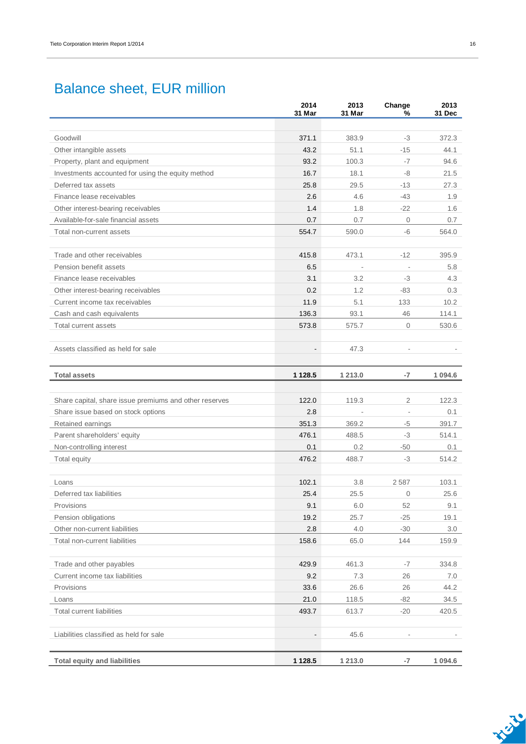## Balance sheet, EUR million

|                                                        | 2014<br>31 Mar           | 2013<br>31 Mar           | Change<br>%              | 2013<br>31 Dec |
|--------------------------------------------------------|--------------------------|--------------------------|--------------------------|----------------|
|                                                        |                          |                          |                          |                |
| Goodwill                                               | 371.1                    | 383.9                    | -3                       | 372.3          |
| Other intangible assets                                | 43.2                     | 51.1                     | $-15$                    | 44.1           |
| Property, plant and equipment                          | 93.2                     | 100.3                    | -7                       | 94.6           |
| Investments accounted for using the equity method      | 16.7                     | 18.1                     | -8                       | 21.5           |
| Deferred tax assets                                    | 25.8                     | 29.5                     | $-13$                    | 27.3           |
| Finance lease receivables                              | 2.6                      | 4.6                      | $-43$                    | 1.9            |
| Other interest-bearing receivables                     | 1.4                      | 1.8                      | $-22$                    | 1.6            |
| Available-for-sale financial assets                    | 0.7                      | 0.7                      | $\mathbf 0$              | 0.7            |
| Total non-current assets                               | 554.7                    | 590.0                    | -6                       | 564.0          |
| Trade and other receivables                            | 415.8                    | 473.1                    | $-12$                    | 395.9          |
| Pension benefit assets                                 | 6.5                      | $\overline{\phantom{a}}$ | $\overline{\phantom{a}}$ | 5.8            |
| Finance lease receivables                              | 3.1                      | 3.2                      | -3                       | 4.3            |
| Other interest-bearing receivables                     | 0.2                      | 1.2                      | $-83$                    | 0.3            |
| Current income tax receivables                         | 11.9                     | 5.1                      | 133                      | 10.2           |
| Cash and cash equivalents                              | 136.3                    | 93.1                     | 46                       | 114.1          |
| Total current assets                                   | 573.8                    | 575.7                    | $\mathbf{O}$             | 530.6          |
| Assets classified as held for sale                     | $\overline{\phantom{a}}$ | 47.3                     |                          |                |
| <b>Total assets</b>                                    | 1 1 28.5                 | 1 2 1 3 .0               | -7                       | 1 0 9 4.6      |
| Share capital, share issue premiums and other reserves | 122.0                    | 119.3                    | $\mathbf{2}$             | 122.3          |
| Share issue based on stock options                     | 2.8                      |                          | ÷,                       | 0.1            |
| Retained earnings                                      | 351.3                    | 369.2                    | -5                       | 391.7          |
| Parent shareholders' equity                            | 476.1                    | 488.5                    | -3                       | 514.1          |
| Non-controlling interest                               | 0.1                      | 0.2                      | -50                      | 0.1            |
| Total equity                                           | 476.2                    | 488.7                    | $-3$                     | 514.2          |
| Loans                                                  | 102.1                    | 3.8                      | 2587                     | 103.1          |
| Deferred tax liabilities                               | 25.4                     | 25.5                     | 0                        | 25.6           |
| Provisions                                             | 9.1                      | 6.0                      | 52                       | 9.1            |
| Pension obligations                                    | 19.2                     | 25.7                     | $-25$                    | 19.1           |
| Other non-current liabilities                          | 2.8                      | 4.0                      | $-30$                    | 3.0            |
| Total non-current liabilities                          | 158.6                    | 65.0                     | 144                      | 159.9          |
| Trade and other payables                               | 429.9                    | 461.3                    | $-7$                     | 334.8          |
| Current income tax liabilities                         | 9.2                      | 7.3                      | 26                       | 7.0            |
| Provisions                                             | 33.6                     | 26.6                     | 26                       | 44.2           |
| Loans                                                  | 21.0                     | 118.5                    | $-82$                    | 34.5           |
| <b>Total current liabilities</b>                       | 493.7                    | 613.7                    | $-20$                    | 420.5          |
| Liabilities classified as held for sale                | $\overline{\phantom{a}}$ | 45.6                     |                          |                |
| <b>Total equity and liabilities</b>                    | 1 1 28.5                 | 1 213.0                  | $-7$                     | 1 0 9 4.6      |

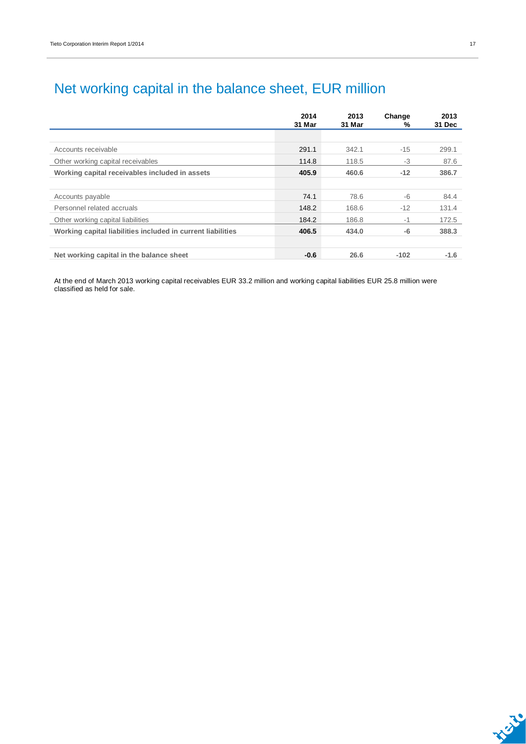# Net working capital in the balance sheet, EUR million

|                                                             | 2014<br>31 Mar | 2013<br>31 Mar | Change<br>% | 2013<br>31 Dec |
|-------------------------------------------------------------|----------------|----------------|-------------|----------------|
|                                                             |                |                |             |                |
| Accounts receivable                                         | 291.1          | 342.1          | $-15$       | 299.1          |
| Other working capital receivables                           | 114.8          | 118.5          | $-3$        | 87.6           |
| Working capital receivables included in assets              | 405.9          | 460.6          | $-12$       | 386.7          |
|                                                             |                |                |             |                |
| Accounts payable                                            | 74.1           | 78.6           | -6          | 84.4           |
| Personnel related accruals                                  | 148.2          | 168.6          | $-12$       | 131.4          |
| Other working capital liabilities                           | 184.2          | 186.8          | $-1$        | 172.5          |
| Working capital liabilities included in current liabilities | 406.5          | 434.0          | $-6$        | 388.3          |
|                                                             |                |                |             |                |
| Net working capital in the balance sheet                    | $-0.6$         | 26.6           | $-102$      | $-1.6$         |

At the end of March 2013 working capital receivables EUR 33.2 million and working capital liabilities EUR 25.8 million were classified as held for sale.

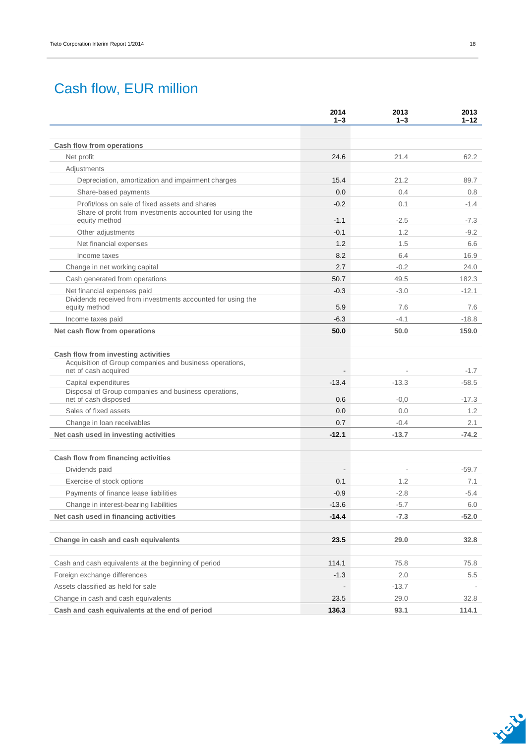## Cash flow, EUR million

|                                                                                                                        | 2014<br>$1 - 3$          | 2013<br>$1 - 3$          | 2013<br>$1 - 12$ |
|------------------------------------------------------------------------------------------------------------------------|--------------------------|--------------------------|------------------|
| Cash flow from operations                                                                                              |                          |                          |                  |
| Net profit                                                                                                             | 24.6                     | 21.4                     | 62.2             |
| Adjustments                                                                                                            |                          |                          |                  |
| Depreciation, amortization and impairment charges                                                                      | 15.4                     | 21.2                     | 89.7             |
| Share-based payments                                                                                                   | 0.0                      | 0.4                      | 0.8              |
| Profit/loss on sale of fixed assets and shares                                                                         | $-0.2$                   | 0.1                      | $-1.4$           |
| Share of profit from investments accounted for using the<br>equity method                                              | $-1.1$                   | $-2.5$                   | $-7.3$           |
| Other adjustments                                                                                                      | $-0.1$                   | 1.2                      | $-9.2$           |
| Net financial expenses                                                                                                 | 1.2                      | 1.5                      | 6.6              |
| Income taxes                                                                                                           | 8.2                      | 6.4                      | 16.9             |
| Change in net working capital                                                                                          | 2.7                      | $-0.2$                   | 24.0             |
| Cash generated from operations                                                                                         | 50.7                     | 49.5                     | 182.3            |
| Net financial expenses paid                                                                                            | $-0.3$                   | $-3.0$                   | $-12.1$          |
| Dividends received from investments accounted for using the<br>equity method                                           | 5.9                      | 7.6                      | 7.6              |
| Income taxes paid                                                                                                      | $-6.3$                   | $-4.1$                   | $-18.8$          |
| Net cash flow from operations                                                                                          | 50.0                     | 50.0                     | 159.0            |
| Cash flow from investing activities<br>Acquisition of Group companies and business operations,<br>net of cash acquired |                          |                          | $-1.7$           |
| Capital expenditures                                                                                                   | $-13.4$                  | $-13.3$                  | $-58.5$          |
| Disposal of Group companies and business operations,<br>net of cash disposed                                           | 0.6                      | $-0,0$                   | $-17.3$          |
| Sales of fixed assets                                                                                                  | 0.0                      | 0.0                      | 1.2              |
| Change in Ioan receivables                                                                                             | 0.7                      | $-0.4$                   | 2.1              |
| Net cash used in investing activities                                                                                  | $-12.1$                  | $-13.7$                  | $-74.2$          |
| Cash flow from financing activities                                                                                    |                          |                          |                  |
| Dividends paid                                                                                                         | $\overline{\phantom{a}}$ | $\overline{\phantom{a}}$ | $-59.7$          |
| Exercise of stock options                                                                                              | 0.1                      | 1.2                      | 7.1              |
| Payments of finance lease liabilities                                                                                  | $-0.9$                   | $-2.8$                   | $-5.4$           |
| Change in interest-bearing liabilities                                                                                 | $-13.6$                  | $-5.7$                   | 6.0              |
| Net cash used in financing activities                                                                                  | $-14.4$                  | $-7.3$                   | $-52.0$          |
| Change in cash and cash equivalents                                                                                    | 23.5                     | 29.0                     | 32.8             |
| Cash and cash equivalents at the beginning of period                                                                   | 114.1                    | 75.8                     | 75.8             |
| Foreign exchange differences                                                                                           | $-1.3$                   | 2.0                      | 5.5              |
| Assets classified as held for sale                                                                                     |                          | $-13.7$                  |                  |
| Change in cash and cash equivalents                                                                                    | 23.5                     | 29.0                     | 32.8             |
| Cash and cash equivalents at the end of period                                                                         | 136.3                    | 93.1                     | 114.1            |

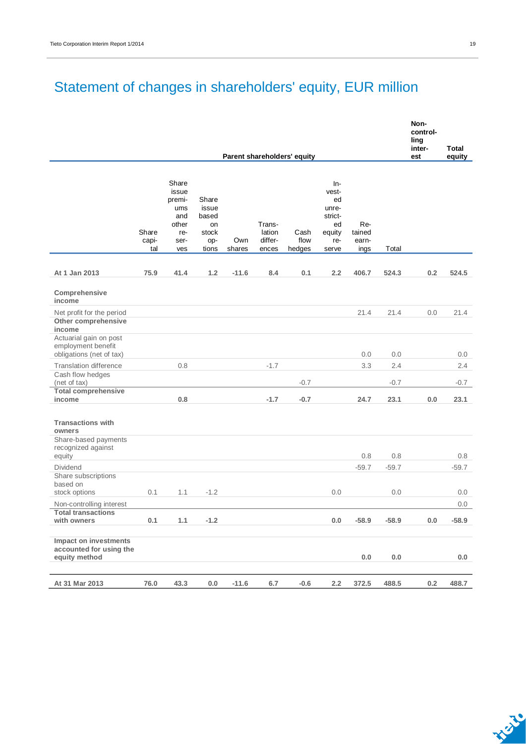# Statement of changes in shareholders' equity, EUR million

|                                                                                            |                       |                                                                       |                                                        |               |                                      |                             |                                                                        |                                |         | Non-<br>control-<br>ling<br>inter- | Total   |
|--------------------------------------------------------------------------------------------|-----------------------|-----------------------------------------------------------------------|--------------------------------------------------------|---------------|--------------------------------------|-----------------------------|------------------------------------------------------------------------|--------------------------------|---------|------------------------------------|---------|
|                                                                                            |                       |                                                                       |                                                        |               |                                      | Parent shareholders' equity |                                                                        |                                |         | est                                | equity  |
|                                                                                            | Share<br>capi-<br>tal | Share<br>issue<br>premi-<br>ums<br>and<br>other<br>re-<br>ser-<br>ves | Share<br>issue<br>based<br>on<br>stock<br>op-<br>tions | Own<br>shares | Trans-<br>lation<br>differ-<br>ences | Cash<br>flow<br>hedges      | In-<br>vest-<br>ed<br>unre-<br>strict-<br>ed<br>equity<br>re-<br>serve | Re-<br>tained<br>earn-<br>ings | Total   |                                    |         |
| At 1 Jan 2013                                                                              | 75.9                  | 41.4                                                                  | 1.2                                                    | $-11.6$       | 8.4                                  | 0.1                         | 2.2                                                                    | 406.7                          | 524.3   | 0.2                                | 524.5   |
| Comprehensive<br>income                                                                    |                       |                                                                       |                                                        |               |                                      |                             |                                                                        |                                |         |                                    |         |
| Net profit for the period<br>Other comprehensive                                           |                       |                                                                       |                                                        |               |                                      |                             |                                                                        | 21.4                           | 21.4    | 0.0                                | 21.4    |
| income<br>Actuarial gain on post<br>employment benefit                                     |                       |                                                                       |                                                        |               |                                      |                             |                                                                        |                                |         |                                    |         |
| obligations (net of tax)                                                                   |                       |                                                                       |                                                        |               |                                      |                             |                                                                        | 0.0                            | 0.0     |                                    | 0.0     |
| <b>Translation difference</b>                                                              |                       | 0.8                                                                   |                                                        |               | $-1.7$                               |                             |                                                                        | 3.3                            | 2.4     |                                    | 2.4     |
| Cash flow hedges<br>(net of tax)<br><b>Total comprehensive</b>                             |                       |                                                                       |                                                        |               |                                      | $-0.7$                      |                                                                        |                                | $-0.7$  |                                    | $-0.7$  |
| income                                                                                     |                       | 0.8                                                                   |                                                        |               | $-1.7$                               | $-0.7$                      |                                                                        | 24.7                           | 23.1    | 0.0                                | 23.1    |
| <b>Transactions with</b><br>owners<br>Share-based payments<br>recognized against<br>equity |                       |                                                                       |                                                        |               |                                      |                             |                                                                        | 0.8                            | 0.8     |                                    | 0.8     |
| <b>Dividend</b>                                                                            |                       |                                                                       |                                                        |               |                                      |                             |                                                                        | $-59.7$                        | $-59.7$ |                                    | $-59.7$ |
| Share subscriptions<br>based on<br>stock options                                           | 0.1                   | 1.1                                                                   | $-1.2$                                                 |               |                                      |                             | 0.0                                                                    |                                | 0.0     |                                    | 0.0     |
| Non-controlling interest                                                                   |                       |                                                                       |                                                        |               |                                      |                             |                                                                        |                                |         |                                    | 0.0     |
| <b>Total transactions</b><br>with owners                                                   | 0.1                   | 1.1                                                                   | $-1.2$                                                 |               |                                      |                             | 0.0                                                                    | $-58.9$                        | $-58.9$ | 0.0                                | $-58.9$ |
| Impact on investments<br>accounted for using the<br>equity method                          |                       |                                                                       |                                                        |               |                                      |                             |                                                                        | $0.0\,$                        | 0.0     |                                    | 0.0     |
| At 31 Mar 2013                                                                             | 76.0                  | 43.3                                                                  | 0.0                                                    | $-11.6$       | 6.7                                  | $-0.6$                      | 2.2                                                                    | 372.5                          | 488.5   | $0.2\,$                            | 488.7   |

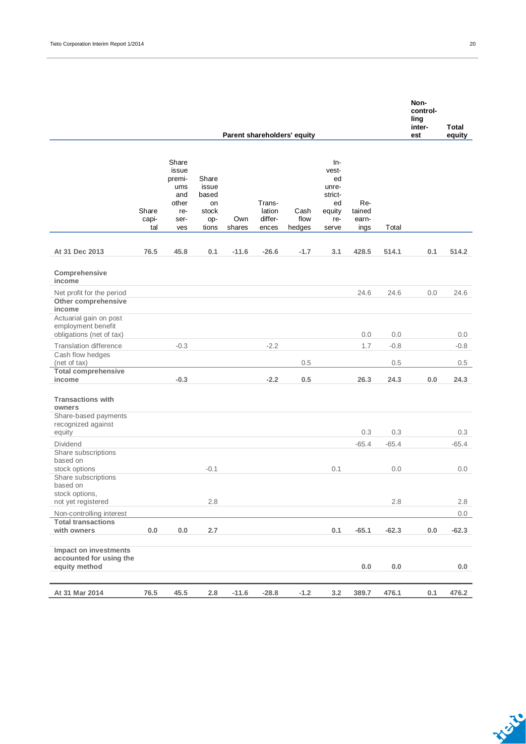|                                                                          |                       |                                                                       |                                                        |               |                                      |                             |                                                                        |                                |         | Non-<br>control-<br>ling<br>inter- | Total   |
|--------------------------------------------------------------------------|-----------------------|-----------------------------------------------------------------------|--------------------------------------------------------|---------------|--------------------------------------|-----------------------------|------------------------------------------------------------------------|--------------------------------|---------|------------------------------------|---------|
|                                                                          |                       |                                                                       |                                                        |               |                                      | Parent shareholders' equity |                                                                        |                                |         | est                                | equity  |
|                                                                          | Share<br>capi-<br>tal | Share<br>issue<br>premi-<br>ums<br>and<br>other<br>re-<br>ser-<br>ves | Share<br>issue<br>based<br>on<br>stock<br>op-<br>tions | Own<br>shares | Trans-<br>lation<br>differ-<br>ences | Cash<br>flow<br>hedges      | In-<br>vest-<br>ed<br>unre-<br>strict-<br>ed<br>equity<br>re-<br>serve | Re-<br>tained<br>earn-<br>ings | Total   |                                    |         |
| At 31 Dec 2013                                                           | 76.5                  | 45.8                                                                  | 0.1                                                    | $-11.6$       | $-26.6$                              | $-1.7$                      | 3.1                                                                    | 428.5                          | 514.1   | 0.1                                | 514.2   |
| Comprehensive<br>income                                                  |                       |                                                                       |                                                        |               |                                      |                             |                                                                        |                                |         |                                    |         |
| Net profit for the period<br>Other comprehensive<br>income               |                       |                                                                       |                                                        |               |                                      |                             |                                                                        | 24.6                           | 24.6    | 0.0                                | 24.6    |
| Actuarial gain on post<br>employment benefit<br>obligations (net of tax) |                       |                                                                       |                                                        |               |                                      |                             |                                                                        | 0.0                            | 0.0     |                                    | 0.0     |
| <b>Translation difference</b><br>Cash flow hedges                        |                       | $-0.3$                                                                |                                                        |               | $-2.2$                               |                             |                                                                        | 1.7                            | $-0.8$  |                                    | $-0.8$  |
| (net of tax)                                                             |                       |                                                                       |                                                        |               |                                      | 0.5                         |                                                                        |                                | 0.5     |                                    | 0.5     |
| <b>Total comprehensive</b><br>income                                     |                       | $-0.3$                                                                |                                                        |               | $-2.2$                               | 0.5                         |                                                                        | 26.3                           | 24.3    | 0.0                                | 24.3    |
| <b>Transactions with</b><br>owners                                       |                       |                                                                       |                                                        |               |                                      |                             |                                                                        |                                |         |                                    |         |
| Share-based payments<br>recognized against<br>equity                     |                       |                                                                       |                                                        |               |                                      |                             |                                                                        | 0.3                            | 0.3     |                                    | 0.3     |
| Dividend                                                                 |                       |                                                                       |                                                        |               |                                      |                             |                                                                        | $-65.4$                        | $-65.4$ |                                    | $-65.4$ |
| Share subscriptions<br>based on<br>stock options                         |                       |                                                                       | $-0.1$                                                 |               |                                      |                             | 0.1                                                                    |                                | 0.0     |                                    | 0.0     |
| Share subscriptions<br>based on                                          |                       |                                                                       |                                                        |               |                                      |                             |                                                                        |                                |         |                                    |         |
| stock options,<br>not yet registered                                     |                       |                                                                       | 2.8                                                    |               |                                      |                             |                                                                        |                                | 2.8     |                                    | $2.8\,$ |
| Non-controlling interest                                                 |                       |                                                                       |                                                        |               |                                      |                             |                                                                        |                                |         |                                    | 0.0     |
| <b>Total transactions</b><br>with owners                                 | $0.0\,$               | 0.0                                                                   | 2.7                                                    |               |                                      |                             | 0.1                                                                    | $-65.1$                        | $-62.3$ | 0.0                                | $-62.3$ |
| Impact on investments<br>accounted for using the<br>equity method        |                       |                                                                       |                                                        |               |                                      |                             |                                                                        | $0.0\,$                        | $0.0\,$ |                                    | 0.0     |
| At 31 Mar 2014                                                           | 76.5                  | 45.5                                                                  | 2.8                                                    | $-11.6$       | $-28.8$                              | $-1.2$                      | 3.2                                                                    | 389.7                          | 476.1   | 0.1                                | 476.2   |

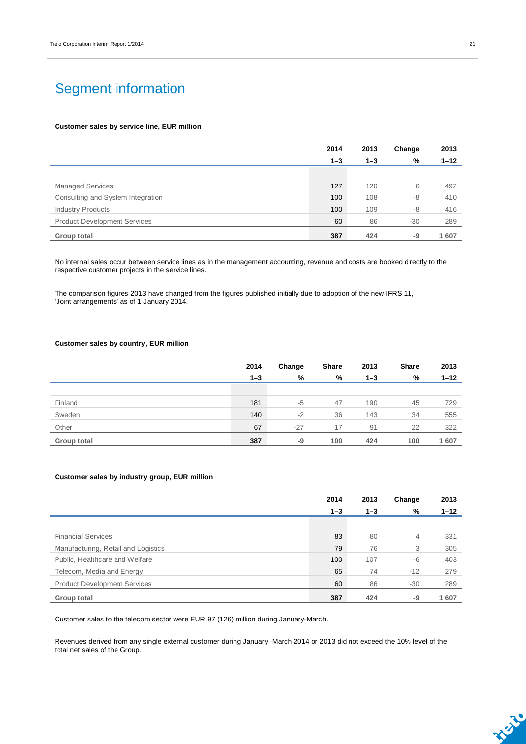## Segment information

#### **Customer sales by service line, EUR million**

|                                     | 2014    | 2013    | Change | 2013     |
|-------------------------------------|---------|---------|--------|----------|
|                                     | $1 - 3$ | $1 - 3$ | %      | $1 - 12$ |
|                                     |         |         |        |          |
| <b>Managed Services</b>             | 127     | 120     | 6      | 492      |
| Consulting and System Integration   | 100     | 108     | $-8$   | 410      |
| <b>Industry Products</b>            | 100     | 109     | $-8$   | 416      |
| <b>Product Development Services</b> | 60      | 86      | $-30$  | 289      |
| <b>Group total</b>                  | 387     | 424     | -9     | 1607     |

No internal sales occur between service lines as in the management accounting, revenue and costs are booked directly to the respective customer projects in the service lines.

The comparison figures 2013 have changed from the figures published initially due to adoption of the new IFRS 11, 'Joint arrangements' as of 1 January 2014.

### **Customer sales by country, EUR million**

|             | 2014    | Change | Share | 2013    | <b>Share</b> | 2013     |
|-------------|---------|--------|-------|---------|--------------|----------|
|             | $1 - 3$ | %      | %     | $1 - 3$ | %            | $1 - 12$ |
|             |         |        |       |         |              |          |
| Finland     | 181     | $-5$   | 47    | 190     | 45           | 729      |
| Sweden      | 140     | $-2$   | 36    | 143     | 34           | 555      |
| Other       | 67      | $-27$  | 17    | 91      | 22           | 322      |
| Group total | 387     | -9     | 100   | 424     | 100          | 1607     |

#### **Customer sales by industry group, EUR million**

|                                     | 2014    | 2013    | Change | 2013     |
|-------------------------------------|---------|---------|--------|----------|
|                                     | $1 - 3$ | $1 - 3$ | %      | $1 - 12$ |
|                                     |         |         |        |          |
| <b>Financial Services</b>           | 83      | 80      | 4      | 331      |
| Manufacturing, Retail and Logistics | 79      | 76      | 3      | 305      |
| Public, Healthcare and Welfare      | 100     | 107     | -6     | 403      |
| Telecom, Media and Energy           | 65      | 74      | $-12$  | 279      |
| <b>Product Development Services</b> | 60      | 86      | $-30$  | 289      |
| Group total                         | 387     | 424     | -9     | 1607     |

Customer sales to the telecom sector were EUR 97 (126) million during January-March.

Revenues derived from any single external customer during January–March 2014 or 2013 did not exceed the 10% level of the total net sales of the Group.

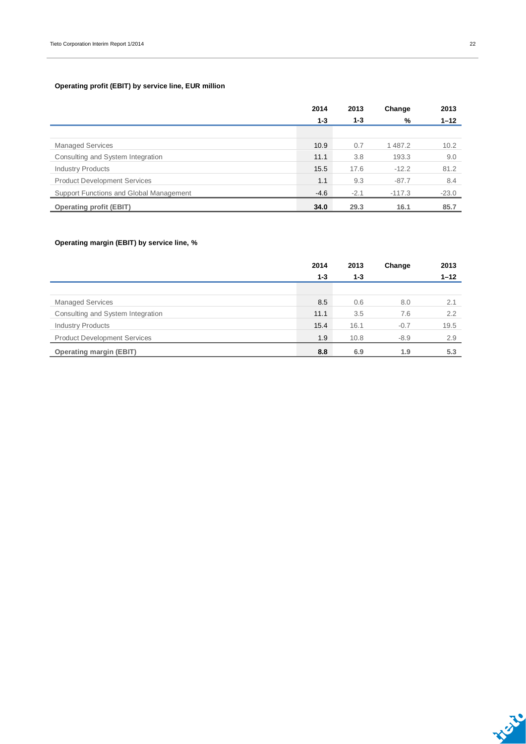### **Operating profit (EBIT) by service line, EUR million**

|                                         | 2014    | 2013    | Change   | 2013     |
|-----------------------------------------|---------|---------|----------|----------|
|                                         | $1 - 3$ | $1 - 3$ | %        | $1 - 12$ |
|                                         |         |         |          |          |
| <b>Managed Services</b>                 | 10.9    | 0.7     | 1487.2   | 10.2     |
| Consulting and System Integration       | 11.1    | 3.8     | 193.3    | 9.0      |
| <b>Industry Products</b>                | 15.5    | 17.6    | $-12.2$  | 81.2     |
| <b>Product Development Services</b>     | 1.1     | 9.3     | $-87.7$  | 8.4      |
| Support Functions and Global Management | $-4.6$  | $-2.1$  | $-117.3$ | $-23.0$  |
| <b>Operating profit (EBIT)</b>          | 34.0    | 29.3    | 16.1     | 85.7     |

### **Operating margin (EBIT) by service line, %**

|                                     | 2014    | 2013    | Change | 2013     |
|-------------------------------------|---------|---------|--------|----------|
|                                     | $1 - 3$ | $1 - 3$ |        | $1 - 12$ |
|                                     |         |         |        |          |
| <b>Managed Services</b>             | 8.5     | 0.6     | 8.0    | 2.1      |
| Consulting and System Integration   | 11.1    | 3.5     | 7.6    | 2.2      |
| <b>Industry Products</b>            | 15.4    | 16.1    | $-0.7$ | 19.5     |
| <b>Product Development Services</b> | 1.9     | 10.8    | $-8.9$ | 2.9      |
| <b>Operating margin (EBIT)</b>      | 8.8     | 6.9     | 1.9    | 5.3      |



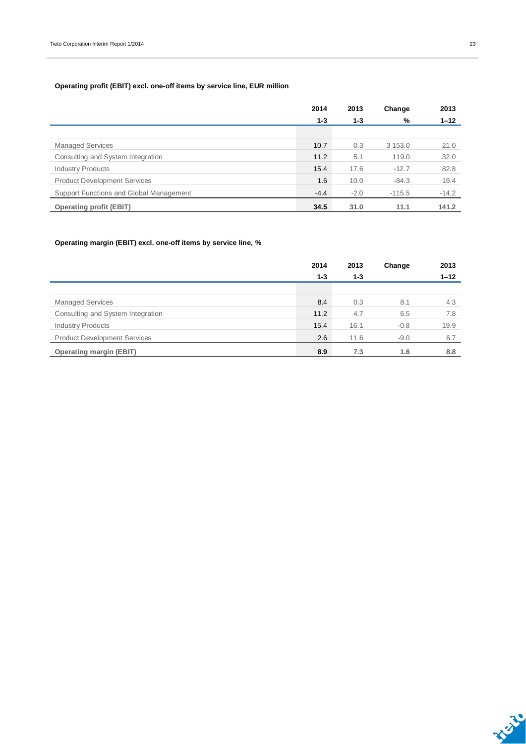### **Operating profit (EBIT) excl. one-off items by service line, EUR million**

|                                         | 2014    | 2013    | Change     | 2013     |
|-----------------------------------------|---------|---------|------------|----------|
|                                         | $1 - 3$ | $1 - 3$ | %          | $1 - 12$ |
|                                         |         |         |            |          |
| <b>Managed Services</b>                 | 10.7    | 0.3     | 3 1 5 3 .0 | 21.0     |
| Consulting and System Integration       | 11.2    | 5.1     | 119.0      | 32.0     |
| <b>Industry Products</b>                | 15.4    | 17.6    | $-12.7$    | 82.8     |
| <b>Product Development Services</b>     | 1.6     | 10.0    | $-84.3$    | 19.4     |
| Support Functions and Global Management | $-4.4$  | $-2.0$  | $-115.5$   | $-14.2$  |
| <b>Operating profit (EBIT)</b>          | 34.5    | 31.0    | 11.1       | 141.2    |

### **Operating margin (EBIT) excl. one-off items by service line, %**

|                                     | 2014    | 2013    | Change | 2013     |
|-------------------------------------|---------|---------|--------|----------|
|                                     | $1 - 3$ | $1 - 3$ |        | $1 - 12$ |
|                                     |         |         |        |          |
| <b>Managed Services</b>             | 8.4     | 0.3     | 8.1    | 4.3      |
| Consulting and System Integration   | 11.2    | 4.7     | 6.5    | 7.8      |
| <b>Industry Products</b>            | 15.4    | 16.1    | $-0.8$ | 19.9     |
| <b>Product Development Services</b> | 2.6     | 11.6    | $-9.0$ | 6.7      |
| <b>Operating margin (EBIT)</b>      | 8.9     | 7.3     | 1.6    | 8.8      |

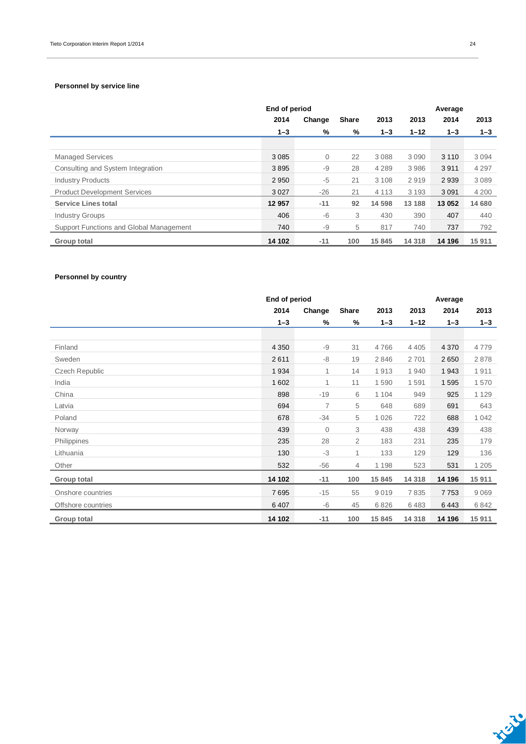### **Personnel by service line**

|                                         | End of period |              |              |         | Average  |         |         |
|-----------------------------------------|---------------|--------------|--------------|---------|----------|---------|---------|
|                                         | 2014          | Change       | <b>Share</b> | 2013    | 2013     | 2014    | 2013    |
|                                         | $1 - 3$       | %            | %            | $1 - 3$ | $1 - 12$ | $1 - 3$ | $1 - 3$ |
|                                         |               |              |              |         |          |         |         |
| <b>Managed Services</b>                 | 3 0 8 5       | $\mathbf{0}$ | 22           | 3088    | 3 0 9 0  | 3 1 1 0 | 3094    |
| Consulting and System Integration       | 3895          | -9           | 28           | 4 2 8 9 | 3986     | 3911    | 4 2 9 7 |
| <b>Industry Products</b>                | 2950          | -5           | 21           | 3 1 0 8 | 2919     | 2939    | 3089    |
| <b>Product Development Services</b>     | 3027          | $-26$        | 21           | 4 1 1 3 | 3 1 9 3  | 3 0 9 1 | 4 2 0 0 |
| <b>Service Lines total</b>              | 12 957        | $-11$        | 92           | 14 5 98 | 13 188   | 13 052  | 14 680  |
| <b>Industry Groups</b>                  | 406           | -6           | 3            | 430     | 390      | 407     | 440     |
| Support Functions and Global Management | 740           | -9           | 5            | 817     | 740      | 737     | 792     |
| Group total                             | 14 102        | $-11$        | 100          | 15 845  | 14 3 18  | 14 196  | 15911   |

### **Personnel by country**

|                       | End of period |                | Average        |         |          |         |         |
|-----------------------|---------------|----------------|----------------|---------|----------|---------|---------|
|                       | 2014          | Change         | <b>Share</b>   | 2013    | 2013     | 2014    | 2013    |
|                       | $1 - 3$       | %              | %              | $1 - 3$ | $1 - 12$ | $1 - 3$ | $1 - 3$ |
|                       |               |                |                |         |          |         |         |
| Finland               | 4 3 5 0       | $-9$           | 31             | 4766    | 4 4 0 5  | 4 3 7 0 | 4779    |
| Sweden                | 2611          | -8             | 19             | 2846    | 2701     | 2650    | 2878    |
| <b>Czech Republic</b> | 1934          | 1              | 14             | 1913    | 1940     | 1943    | 1911    |
| India                 | 1 602         | 1              | 11             | 1590    | 1591     | 1595    | 1570    |
| China                 | 898           | $-19$          | 6              | 1 1 0 4 | 949      | 925     | 1 1 2 9 |
| Latvia                | 694           | $\overline{7}$ | 5              | 648     | 689      | 691     | 643     |
| Poland                | 678           | $-34$          | 5              | 1 0 2 6 | 722      | 688     | 1 0 4 2 |
| Norway                | 439           | $\mathbf 0$    | 3              | 438     | 438      | 439     | 438     |
| Philippines           | 235           | 28             | $\overline{2}$ | 183     | 231      | 235     | 179     |
| Lithuania             | 130           | $-3$           | 1              | 133     | 129      | 129     | 136     |
| Other                 | 532           | $-56$          | 4              | 1 1 9 8 | 523      | 531     | 1 2 0 5 |
| Group total           | 14 102        | $-11$          | 100            | 15 845  | 14 3 18  | 14 196  | 15 911  |
| Onshore countries     | 7695          | $-15$          | 55             | 9019    | 7835     | 7753    | 9069    |
| Offshore countries    | 6407          | -6             | 45             | 6826    | 6483     | 6443    | 6842    |
| Group total           | 14 102        | $-11$          | 100            | 15 845  | 14 3 18  | 14 196  | 15 911  |

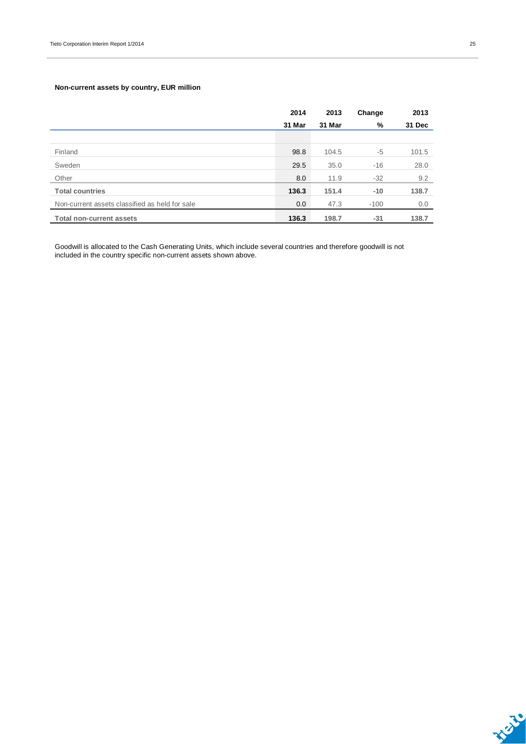### **Non-current assets by country, EUR million**

|                                                | 2014   | 2013   | Change | 2013   |
|------------------------------------------------|--------|--------|--------|--------|
|                                                | 31 Mar | 31 Mar | %      | 31 Dec |
|                                                |        |        |        |        |
| Finland                                        | 98.8   | 104.5  | $-5$   | 101.5  |
| Sweden                                         | 29.5   | 35.0   | $-16$  | 28.0   |
| Other                                          | 8.0    | 11.9   | $-32$  | 9.2    |
| <b>Total countries</b>                         | 136.3  | 151.4  | $-10$  | 138.7  |
| Non-current assets classified as held for sale | 0.0    | 47.3   | $-100$ | 0.0    |
| <b>Total non-current assets</b>                | 136.3  | 198.7  | $-31$  | 138.7  |

Goodwill is allocated to the Cash Generating Units, which include several countries and therefore goodwill is not included in the country specific non-current assets shown above.

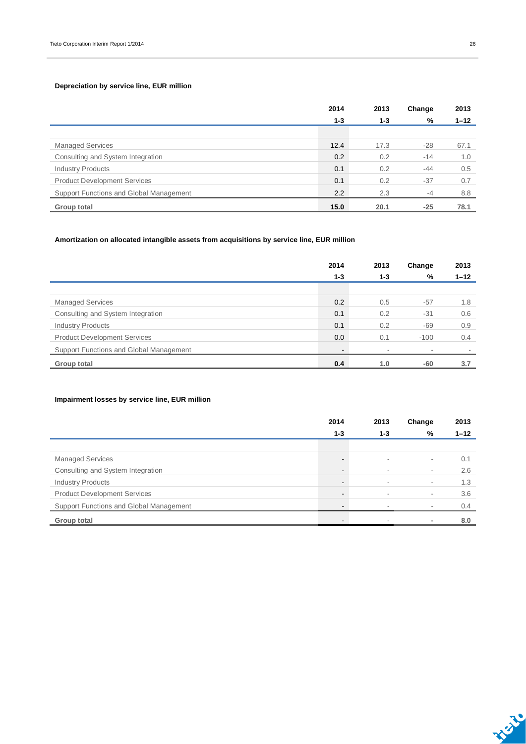### **Depreciation by service line, EUR million**

|                                         | 2014    | 2013    | Change | 2013     |
|-----------------------------------------|---------|---------|--------|----------|
|                                         | $1 - 3$ | $1 - 3$ | %      | $1 - 12$ |
|                                         |         |         |        |          |
| <b>Managed Services</b>                 | 12.4    | 17.3    | $-28$  | 67.1     |
| Consulting and System Integration       | 0.2     | 0.2     | $-14$  | 1.0      |
| <b>Industry Products</b>                | 0.1     | 0.2     | $-44$  | 0.5      |
| <b>Product Development Services</b>     | 0.1     | 0.2     | $-37$  | 0.7      |
| Support Functions and Global Management | 2.2     | 2.3     | $-4$   | 8.8      |
| Group total                             | 15.0    | 20.1    | $-25$  | 78.1     |

### **Amortization on allocated intangible assets from acquisitions by service line, EUR million**

|                                         | 2014    | 2013    | Change | 2013     |
|-----------------------------------------|---------|---------|--------|----------|
|                                         | $1 - 3$ | $1 - 3$ | %      | $1 - 12$ |
|                                         |         |         |        |          |
| <b>Managed Services</b>                 | 0.2     | 0.5     | $-57$  | 1.8      |
| Consulting and System Integration       | 0.1     | 0.2     | $-31$  | 0.6      |
| <b>Industry Products</b>                | 0.1     | 0.2     | $-69$  | 0.9      |
| <b>Product Development Services</b>     | 0.0     | 0.1     | $-100$ | 0.4      |
| Support Functions and Global Management |         |         |        |          |
| Group total                             | 0.4     | 1.0     | -60    | 3.7      |

### **Impairment losses by service line, EUR million**

|                                         | 2014           | 2013    | Change                   | 2013     |
|-----------------------------------------|----------------|---------|--------------------------|----------|
|                                         | $1 - 3$        | $1 - 3$ | %                        | $1 - 12$ |
|                                         |                |         |                          |          |
| <b>Managed Services</b>                 | $\blacksquare$ | $\sim$  | ٠                        | 0.1      |
| Consulting and System Integration       | -              | $\sim$  | ٠                        | 2.6      |
| <b>Industry Products</b>                | -              | $\sim$  | ٠                        | 1.3      |
| <b>Product Development Services</b>     | ۰              | $\sim$  | $\overline{\phantom{a}}$ | 3.6      |
| Support Functions and Global Management |                |         |                          | 0.4      |
| Group total                             | -              |         |                          | 8.0      |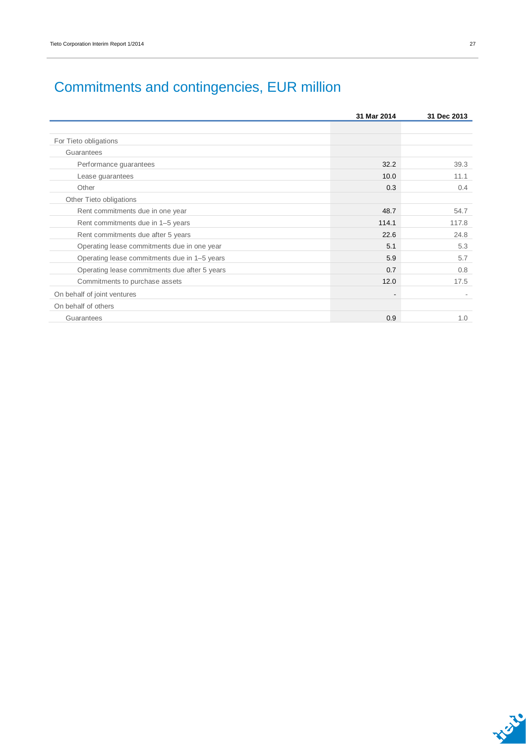# Commitments and contingencies, EUR million

|                                               | 31 Mar 2014 | 31 Dec 2013 |
|-----------------------------------------------|-------------|-------------|
|                                               |             |             |
| For Tieto obligations                         |             |             |
| Guarantees                                    |             |             |
| Performance guarantees                        | 32.2        | 39.3        |
| Lease guarantees                              | 10.0        | 11.1        |
| Other                                         | 0.3         | 0.4         |
| Other Tieto obligations                       |             |             |
| Rent commitments due in one year              | 48.7        | 54.7        |
| Rent commitments due in 1-5 years             | 114.1       | 117.8       |
| Rent commitments due after 5 years            | 22.6        | 24.8        |
| Operating lease commitments due in one year   | 5.1         | 5.3         |
| Operating lease commitments due in 1-5 years  | 5.9         | 5.7         |
| Operating lease commitments due after 5 years | 0.7         | 0.8         |
| Commitments to purchase assets                | 12.0        | 17.5        |
| On behalf of joint ventures                   |             |             |
| On behalf of others                           |             |             |
| Guarantees                                    | 0.9         | 1.0         |

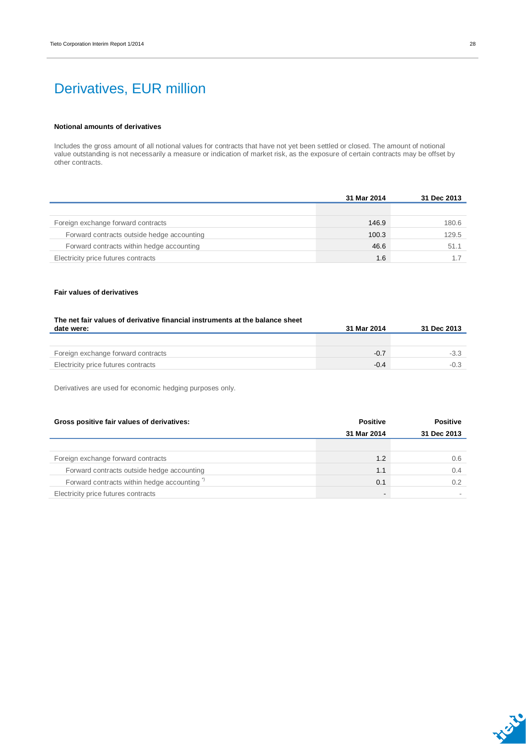## Derivatives, EUR million

#### **Notional amounts of derivatives**

Includes the gross amount of all notional values for contracts that have not yet been settled or closed. The amount of notional value outstanding is not necessarily a measure or indication of market risk, as the exposure of certain contracts may be offset by other contracts.

|                                            | 31 Mar 2014 | 31 Dec 2013 |
|--------------------------------------------|-------------|-------------|
|                                            |             |             |
| Foreign exchange forward contracts         | 146.9       | 180.6       |
| Forward contracts outside hedge accounting | 100.3       | 129.5       |
| Forward contracts within hedge accounting  | 46.6        | 51.1        |
| Electricity price futures contracts        | 1.6         |             |

#### **Fair values of derivatives**

| The net fair values of derivative financial instruments at the balance sheet |             |             |
|------------------------------------------------------------------------------|-------------|-------------|
| date were:                                                                   | 31 Mar 2014 | 31 Dec 2013 |
|                                                                              |             |             |
|                                                                              |             |             |
| Foreign exchange forward contracts                                           | $-0.7$      | $-3.3$      |
| Electricity price futures contracts                                          | $-0.4$      | $-0.3$      |

Derivatives are used for economic hedging purposes only.

| Gross positive fair values of derivatives: | <b>Positive</b> | <b>Positive</b> |
|--------------------------------------------|-----------------|-----------------|
|                                            | 31 Mar 2014     | 31 Dec 2013     |
|                                            |                 |                 |
| Foreign exchange forward contracts         | 1.2             | 0.6             |
| Forward contracts outside hedge accounting | 1.1             | 0.4             |
| Forward contracts within hedge accounting" | 0.1             | 0.2             |
| Electricity price futures contracts        | -               |                 |

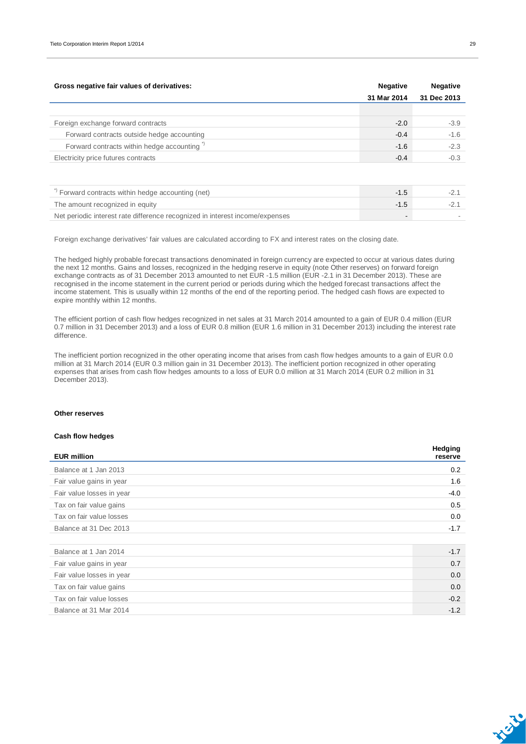| Gross negative fair values of derivatives:             | <b>Negative</b><br>31 Mar 2014 | <b>Negative</b><br>31 Dec 2013 |
|--------------------------------------------------------|--------------------------------|--------------------------------|
|                                                        |                                |                                |
| Foreign exchange forward contracts                     | $-2.0$                         | $-3.9$                         |
| Forward contracts outside hedge accounting             | $-0.4$                         | $-1.6$                         |
| Forward contracts within hedge accounting <sup>*</sup> | $-1.6$                         | $-2.3$                         |
| Electricity price futures contracts                    | $-0.4$                         | $-0.3$                         |
|                                                        |                                |                                |
| $\rightarrow$                                          |                                |                                |

| Forward contracts within hedge accounting (net)                              |                          |  |
|------------------------------------------------------------------------------|--------------------------|--|
| The amount recognized in equity                                              |                          |  |
| Net periodic interest rate difference recognized in interest income/expenses | $\overline{\phantom{0}}$ |  |

Foreign exchange derivatives' fair values are calculated according to FX and interest rates on the closing date.

The hedged highly probable forecast transactions denominated in foreign currency are expected to occur at various dates during the next 12 months. Gains and losses, recognized in the hedging reserve in equity (note Other reserves) on forward foreign exchange contracts as of 31 December 2013 amounted to net EUR -1.5 million (EUR -2.1 in 31 December 2013). These are recognised in the income statement in the current period or periods during which the hedged forecast transactions affect the income statement. This is usually within 12 months of the end of the reporting period. The hedged cash flows are expected to expire monthly within 12 months.

The efficient portion of cash flow hedges recognized in net sales at 31 March 2014 amounted to a gain of EUR 0.4 million (EUR 0.7 million in 31 December 2013) and a loss of EUR 0.8 million (EUR 1.6 million in 31 December 2013) including the interest rate difference.

The inefficient portion recognized in the other operating income that arises from cash flow hedges amounts to a gain of EUR 0.0 million at 31 March 2014 (EUR 0.3 million gain in 31 December 2013). The inefficient portion recognized in other operating expenses that arises from cash flow hedges amounts to a loss of EUR 0.0 million at 31 March 2014 (EUR 0.2 million in 31 December 2013).

#### **Other reserves**

#### **Cash flow hedges**

| <b>EUR million</b>        | Hedging<br>reserve |
|---------------------------|--------------------|
| Balance at 1 Jan 2013     | 0.2                |
| Fair value gains in year  | 1.6                |
| Fair value losses in year | $-4.0$             |
| Tax on fair value gains   | 0.5                |
| Tax on fair value losses  | 0.0                |
| Balance at 31 Dec 2013    | $-1.7$             |
|                           |                    |
| Balance at 1 Jan 2014     | $-1.7$             |
| Fair value gains in year  | 0.7                |
| Fair value losses in year | 0.0                |
| Tax on fair value gains   | 0.0                |
| Tax on fair value losses  | $-0.2$             |
| Balance at 31 Mar 2014    | $-1.2$             |



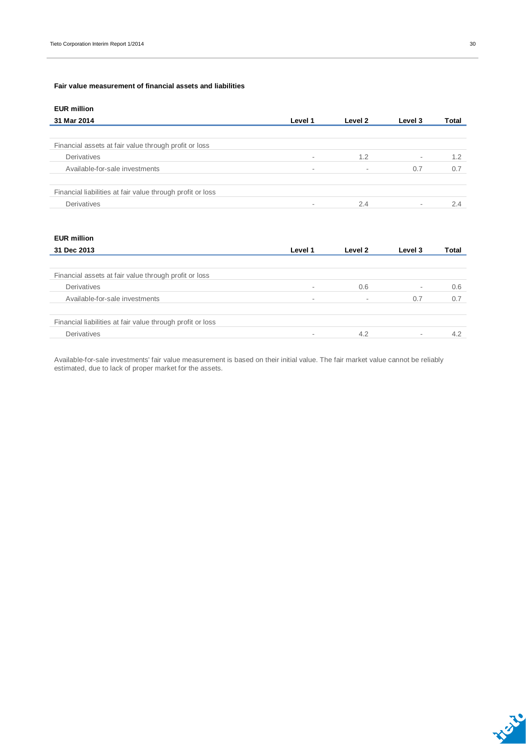### **Fair value measurement of financial assets and liabilities**

### **EUR million**

| 31 Mar 2014                                                | Level 1                  | Level 2                  | Level 3 | Total |
|------------------------------------------------------------|--------------------------|--------------------------|---------|-------|
|                                                            |                          |                          |         |       |
| Financial assets at fair value through profit or loss      |                          |                          |         |       |
| Derivatives                                                | $\sim$                   | 1.2                      | $\sim$  | 1.2   |
| Available-for-sale investments                             | $\overline{\phantom{a}}$ | $\overline{\phantom{a}}$ | 0.7     | 0.7   |
|                                                            |                          |                          |         |       |
| Financial liabilities at fair value through profit or loss |                          |                          |         |       |
| Derivatives                                                |                          | 2.4                      | $\sim$  | 2.4   |

### **EUR million**

| 31 Dec 2013                                                | Level 1 | Level 2                  | Level 3 | Total |
|------------------------------------------------------------|---------|--------------------------|---------|-------|
|                                                            |         |                          |         |       |
| Financial assets at fair value through profit or loss      |         |                          |         |       |
| <b>Derivatives</b>                                         |         | 0.6                      | $\sim$  | 0.6   |
| Available-for-sale investments                             | $\sim$  | $\overline{\phantom{a}}$ | 0.7     | 0.7   |
|                                                            |         |                          |         |       |
| Financial liabilities at fair value through profit or loss |         |                          |         |       |
| Derivatives                                                |         | 4.2                      | $\sim$  | 4.2   |

Available-for-sale investments' fair value measurement is based on their initial value. The fair market value cannot be reliably estimated, due to lack of proper market for the assets.

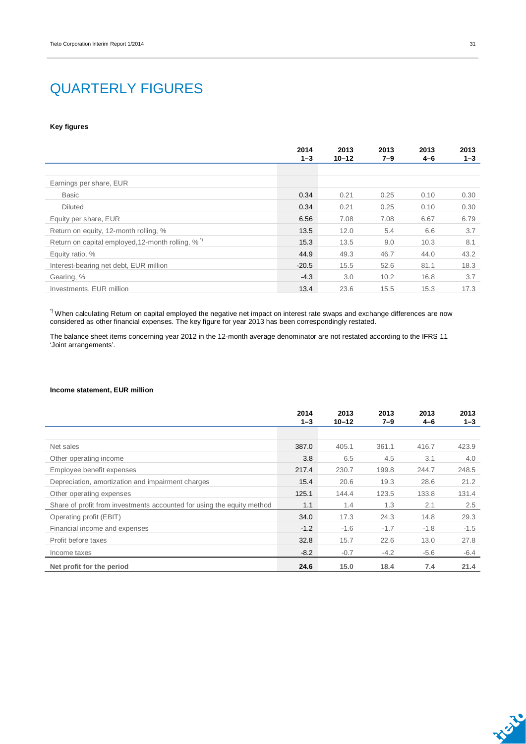## QUARTERLY FIGURES

#### **Key figures**

|                                                              | 2014<br>$1 - 3$ | 2013<br>$10 - 12$ | 2013<br>$7 - 9$ | 2013<br>$4 - 6$ | 2013<br>$1 - 3$ |
|--------------------------------------------------------------|-----------------|-------------------|-----------------|-----------------|-----------------|
|                                                              |                 |                   |                 |                 |                 |
| Earnings per share, EUR                                      |                 |                   |                 |                 |                 |
| <b>Basic</b>                                                 | 0.34            | 0.21              | 0.25            | 0.10            | 0.30            |
| <b>Diluted</b>                                               | 0.34            | 0.21              | 0.25            | 0.10            | 0.30            |
| Equity per share, EUR                                        | 6.56            | 7.08              | 7.08            | 6.67            | 6.79            |
| Return on equity, 12-month rolling, %                        | 13.5            | 12.0              | 5.4             | 6.6             | 3.7             |
| Return on capital employed, 12-month rolling, % <sup>"</sup> | 15.3            | 13.5              | 9.0             | 10.3            | 8.1             |
| Equity ratio, %                                              | 44.9            | 49.3              | 46.7            | 44.0            | 43.2            |
| Interest-bearing net debt, EUR million                       | $-20.5$         | 15.5              | 52.6            | 81.1            | 18.3            |
| Gearing, %                                                   | $-4.3$          | 3.0               | 10.2            | 16.8            | 3.7             |
| Investments, EUR million                                     | 13.4            | 23.6              | 15.5            | 15.3            | 17.3            |

\*) When calculating Return on capital employed the negative net impact on interest rate swaps and exchange differences are now considered as other financial expenses. The key figure for year 2013 has been correspondingly restated.

The balance sheet items concerning year 2012 in the 12-month average denominator are not restated according to the IFRS 11 'Joint arrangements'.

#### **Income statement, EUR million**

|                                                                        | 2014<br>$1 - 3$ | 2013<br>$10 - 12$ | 2013<br>$7 - 9$ | 2013<br>4-6 | 2013<br>$1 - 3$ |
|------------------------------------------------------------------------|-----------------|-------------------|-----------------|-------------|-----------------|
|                                                                        |                 |                   |                 |             |                 |
| Net sales                                                              | 387.0           | 405.1             | 361.1           | 416.7       | 423.9           |
| Other operating income                                                 | 3.8             | 6.5               | 4.5             | 3.1         | 4.0             |
| Employee benefit expenses                                              | 217.4           | 230.7             | 199.8           | 244.7       | 248.5           |
| Depreciation, amortization and impairment charges                      | 15.4            | 20.6              | 19.3            | 28.6        | 21.2            |
| Other operating expenses                                               | 125.1           | 144.4             | 123.5           | 133.8       | 131.4           |
| Share of profit from investments accounted for using the equity method | 1.1             | 1.4               | 1.3             | 2.1         | 2.5             |
| Operating profit (EBIT)                                                | 34.0            | 17.3              | 24.3            | 14.8        | 29.3            |
| Financial income and expenses                                          | $-1.2$          | $-1.6$            | $-1.7$          | $-1.8$      | $-1.5$          |
| Profit before taxes                                                    | 32.8            | 15.7              | 22.6            | 13.0        | 27.8            |
| Income taxes                                                           | $-8.2$          | $-0.7$            | $-4.2$          | $-5.6$      | -6.4            |
| Net profit for the period                                              | 24.6            | 15.0              | 18.4            | 7.4         | 21.4            |

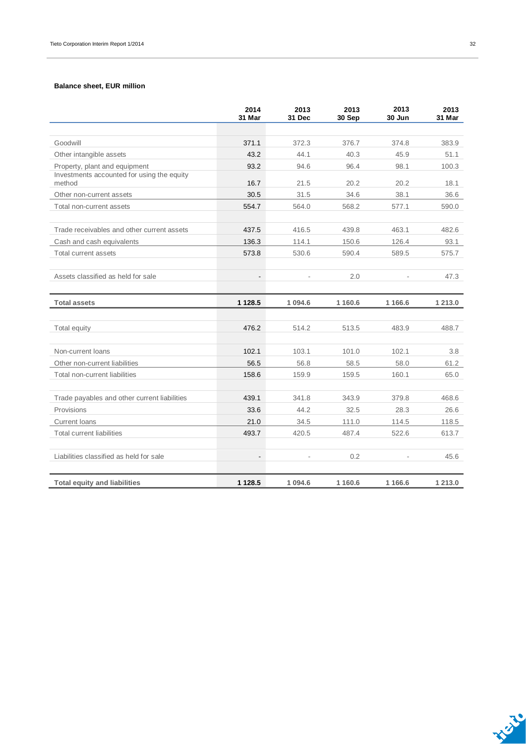### **Balance sheet, EUR million**

|                                                      | 2014<br>31 Mar | 2013<br>31 Dec | 2013<br>30 Sep | 2013<br>30 Jun | 2013<br>31 Mar |
|------------------------------------------------------|----------------|----------------|----------------|----------------|----------------|
|                                                      |                |                |                |                |                |
| Goodwill                                             | 371.1          | 372.3          | 376.7          | 374.8          | 383.9          |
| Other intangible assets                              | 43.2           | 44.1           | 40.3           | 45.9           | 51.1           |
| Property, plant and equipment                        | 93.2           | 94.6           | 96.4           | 98.1           | 100.3          |
| Investments accounted for using the equity<br>method | 16.7           | 21.5           | 20.2           | 20.2           | 18.1           |
| Other non-current assets                             | 30.5           | 31.5           | 34.6           | 38.1           | 36.6           |
| Total non-current assets                             | 554.7          | 564.0          | 568.2          | 577.1          | 590.0          |
|                                                      |                |                |                |                |                |
| Trade receivables and other current assets           | 437.5          | 416.5          | 439.8          | 463.1          | 482.6          |
| Cash and cash equivalents                            | 136.3          | 114.1          | 150.6          | 126.4          | 93.1           |
| Total current assets                                 | 573.8          | 530.6          | 590.4          | 589.5          | 575.7          |
|                                                      |                |                |                |                |                |
| Assets classified as held for sale                   | $\blacksquare$ |                | 2.0            |                | 47.3           |
|                                                      |                |                |                |                |                |
| <b>Total assets</b>                                  | 1 1 28.5       | 1 0 9 4 . 6    | 1 160.6        | 1 1 66.6       | 1 213.0        |
|                                                      |                |                |                |                |                |
| Total equity                                         | 476.2          | 514.2          | 513.5          | 483.9          | 488.7          |
|                                                      |                |                |                |                |                |
| Non-current loans                                    | 102.1          | 103.1          | 101.0          | 102.1          | 3.8            |
| Other non-current liabilities                        | 56.5           | 56.8           | 58.5           | 58.0           | 61.2           |
| Total non-current liabilities                        | 158.6          | 159.9          | 159.5          | 160.1          | 65.0           |
|                                                      |                |                |                |                |                |
| Trade payables and other current liabilities         | 439.1          | 341.8          | 343.9          | 379.8          | 468.6          |
| Provisions                                           | 33.6           | 44.2           | 32.5           | 28.3           | 26.6           |
| <b>Current loans</b>                                 | 21.0           | 34.5           | 111.0          | 114.5          | 118.5          |
| <b>Total current liabilities</b>                     | 493.7          | 420.5          | 487.4          | 522.6          | 613.7          |
|                                                      |                |                |                |                |                |
| Liabilities classified as held for sale              | $\sim$         |                | 0.2            |                | 45.6           |
| <b>Total equity and liabilities</b>                  | 1 1 28.5       | 1 0 9 4 .6     | 1 160.6        | 1 1 6 6.6      | 1 213.0        |
|                                                      |                |                |                |                |                |

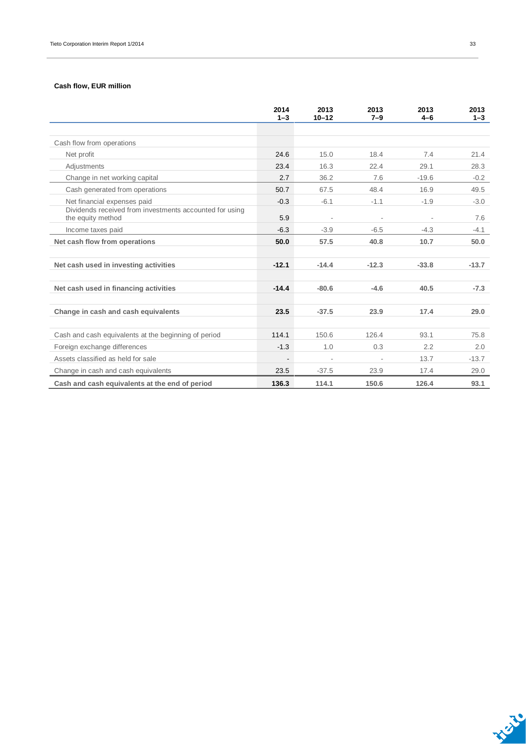### **Cash flow, EUR million**

|                                                                              | 2014<br>$1 - 3$          | 2013<br>$10 - 12$        | 2013<br>$7 - 9$ | 2013<br>$4-6$ | 2013<br>$1 - 3$ |
|------------------------------------------------------------------------------|--------------------------|--------------------------|-----------------|---------------|-----------------|
|                                                                              |                          |                          |                 |               |                 |
| Cash flow from operations                                                    |                          |                          |                 |               |                 |
| Net profit                                                                   | 24.6                     | 15.0                     | 18.4            | 7.4           | 21.4            |
| Adjustments                                                                  | 23.4                     | 16.3                     | 22.4            | 29.1          | 28.3            |
| Change in net working capital                                                | 2.7                      | 36.2                     | 7.6             | $-19.6$       | $-0.2$          |
| Cash generated from operations                                               | 50.7                     | 67.5                     | 48.4            | 16.9          | 49.5            |
| Net financial expenses paid                                                  | $-0.3$                   | $-6.1$                   | $-1.1$          | $-1.9$        | $-3.0$          |
| Dividends received from investments accounted for using<br>the equity method | 5.9                      | $\overline{\phantom{a}}$ | $\overline{a}$  |               | 7.6             |
| Income taxes paid                                                            | $-6.3$                   | $-3.9$                   | $-6.5$          | $-4.3$        | $-4.1$          |
| Net cash flow from operations                                                | 50.0                     | 57.5                     | 40.8            | 10.7          | 50.0            |
|                                                                              |                          |                          |                 |               |                 |
| Net cash used in investing activities                                        | $-12.1$                  | $-14.4$                  | $-12.3$         | $-33.8$       | $-13.7$         |
|                                                                              |                          |                          |                 |               |                 |
| Net cash used in financing activities                                        | $-14.4$                  | $-80.6$                  | $-4.6$          | 40.5          | $-7.3$          |
|                                                                              |                          |                          |                 |               |                 |
| Change in cash and cash equivalents                                          | 23.5                     | $-37.5$                  | 23.9            | 17.4          | 29.0            |
|                                                                              |                          |                          |                 |               |                 |
| Cash and cash equivalents at the beginning of period                         | 114.1                    | 150.6                    | 126.4           | 93.1          | 75.8            |
| Foreign exchange differences                                                 | $-1.3$                   | 1.0                      | 0.3             | 2.2           | 2.0             |
| Assets classified as held for sale                                           | $\overline{\phantom{m}}$ |                          |                 | 13.7          | $-13.7$         |
| Change in cash and cash equivalents                                          | 23.5                     | $-37.5$                  | 23.9            | 17.4          | 29.0            |
| Cash and cash equivalents at the end of period                               | 136.3                    | 114.1                    | 150.6           | 126.4         | 93.1            |

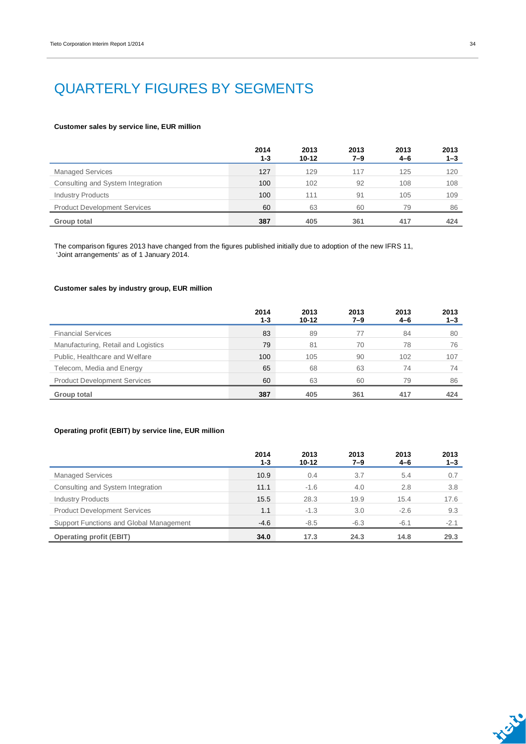# QUARTERLY FIGURES BY SEGMENTS

#### **Customer sales by service line, EUR million**

|                                     | 2014<br>$1 - 3$ | 2013<br>$10 - 12$ | 2013<br>7–9 | 2013<br>4-6 | 2013<br>$1 - 3$ |
|-------------------------------------|-----------------|-------------------|-------------|-------------|-----------------|
| <b>Managed Services</b>             | 127             | 129               | 117         | 125         | 120             |
| Consulting and System Integration   | 100             | 102               | 92          | 108         | 108             |
| <b>Industry Products</b>            | 100             | 111               | 91          | 105         | 109             |
| <b>Product Development Services</b> | 60              | 63                | 60          | 79          | 86              |
| Group total                         | 387             | 405               | 361         | 417         | 424             |

The comparison figures 2013 have changed from the figures published initially due to adoption of the new IFRS 11, 'Joint arrangements' as of 1 January 2014.

### **Customer sales by industry group, EUR million**

|                                     | 2014<br>1-3 | 2013<br>$10 - 12$ | 2013<br>7–9 | 2013<br>4-6 | 2013<br>1–3 |
|-------------------------------------|-------------|-------------------|-------------|-------------|-------------|
| <b>Financial Services</b>           | 83          | 89                | 77          | 84          | 80          |
| Manufacturing, Retail and Logistics | 79          | 81                | 70          | 78          | 76          |
| Public, Healthcare and Welfare      | 100         | 105               | 90          | 102         | 107         |
| Telecom, Media and Energy           | 65          | 68                | 63          | 74          | 74          |
| <b>Product Development Services</b> | 60          | 63                | 60          | 79          | 86          |
| Group total                         | 387         | 405               | 361         | 417         | 424         |

### **Operating profit (EBIT) by service line, EUR million**

|                                         | 2014<br>$1 - 3$ | 2013<br>$10 - 12$ | 2013<br>$7 - 9$ | 2013<br>$4 - 6$ | 2013<br>$1 - 3$ |
|-----------------------------------------|-----------------|-------------------|-----------------|-----------------|-----------------|
| <b>Managed Services</b>                 | 10.9            | 0.4               | 3.7             | 5.4             | 0.7             |
| Consulting and System Integration       | 11.1            | $-1.6$            | 4.0             | 2.8             | 3.8             |
| <b>Industry Products</b>                | 15.5            | 28.3              | 19.9            | 15.4            | 17.6            |
| <b>Product Development Services</b>     | 1.1             | $-1.3$            | 3.0             | $-2.6$          | 9.3             |
| Support Functions and Global Management | $-4.6$          | $-8.5$            | $-6.3$          | $-6.1$          | $-2.1$          |
| <b>Operating profit (EBIT)</b>          | 34.0            | 17.3              | 24.3            | 14.8            | 29.3            |

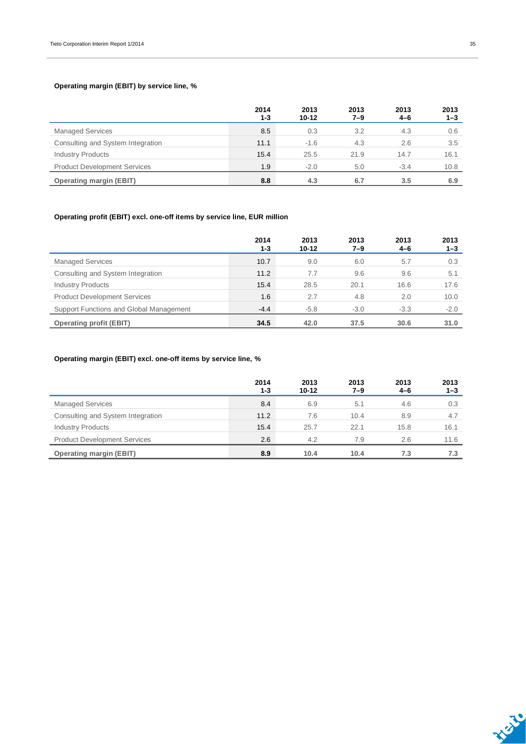### **Operating margin (EBIT) by service line, %**

|                                     | 2014<br>$1 - 3$ | 2013<br>$10 - 12$ | 2013<br>7–9 | 2013<br>4-6 | 2013<br>$1 - 3$ |
|-------------------------------------|-----------------|-------------------|-------------|-------------|-----------------|
| <b>Managed Services</b>             | 8.5             | 0.3               | 3.2         | 4.3         | 0.6             |
| Consulting and System Integration   | 11.1            | $-1.6$            | 4.3         | 2.6         | 3.5             |
| <b>Industry Products</b>            | 15.4            | 25.5              | 21.9        | 14.7        | 16.1            |
| <b>Product Development Services</b> | 1.9             | $-2.0$            | 5.0         | $-3.4$      | 10.8            |
| <b>Operating margin (EBIT)</b>      | 8.8             | 4.3               | 6.7         | 3.5         | 6.9             |

### **Operating profit (EBIT) excl. one-off items by service line, EUR million**

|                                         | 2014<br>1-3 | 2013<br>$10 - 12$ | 2013<br>7–9 | 2013<br>$4 - 6$ | 2013<br>$1 - 3$ |
|-----------------------------------------|-------------|-------------------|-------------|-----------------|-----------------|
| <b>Managed Services</b>                 | 10.7        | 9.0               | 6.0         | 5.7             | 0.3             |
| Consulting and System Integration       | 11.2        | 7.7               | 9.6         | 9.6             | 5.1             |
| <b>Industry Products</b>                | 15.4        | 28.5              | 20.1        | 16.6            | 17.6            |
| <b>Product Development Services</b>     | 1.6         | 2.7               | 4.8         | 2.0             | 10.0            |
| Support Functions and Global Management | $-4.4$      | $-5.8$            | $-3.0$      | $-3.3$          | $-2.0$          |
| <b>Operating profit (EBIT)</b>          | 34.5        | 42.0              | 37.5        | 30.6            | 31.0            |

### **Operating margin (EBIT) excl. one-off items by service line, %**

|                                     | 2014<br>$1 - 3$ | 2013<br>$10 - 12$ | 2013<br>7–9 | 2013<br>$4 - 6$ | 2013<br>$1 - 3$ |
|-------------------------------------|-----------------|-------------------|-------------|-----------------|-----------------|
| <b>Managed Services</b>             | 8.4             | 6.9               | 5.1         | 4.6             | 0.3             |
| Consulting and System Integration   | 11.2            | 7.6               | 10.4        | 8.9             | 4.7             |
| <b>Industry Products</b>            | 15.4            | 25.7              | 22.1        | 15.8            | 16.1            |
| <b>Product Development Services</b> | 2.6             | 4.2               | 7.9         | 2.6             | 11.6            |
| <b>Operating margin (EBIT)</b>      | 8.9             | 10.4              | 10.4        | 7.3             | 7.3             |

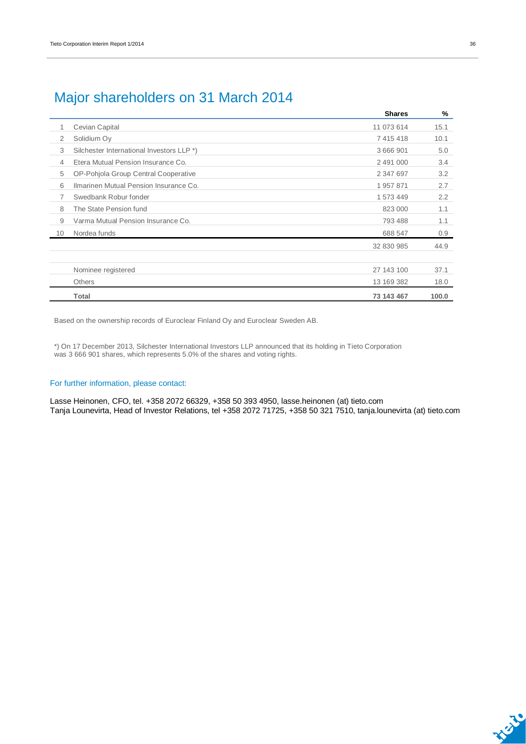## Major shareholders on 31 March 2014

|    |                                           | <b>Shares</b> | %     |
|----|-------------------------------------------|---------------|-------|
| 1  | Cevian Capital                            | 11 073 614    | 15.1  |
| 2  | Solidium Oy                               | 7 415 418     | 10.1  |
| 3  | Silchester International Investors LLP *) | 3 666 901     | 5.0   |
| 4  | Etera Mutual Pension Insurance Co.        | 2 491 000     | 3.4   |
| 5  | OP-Pohjola Group Central Cooperative      | 2 347 697     | 3.2   |
| 6  | Ilmarinen Mutual Pension Insurance Co.    | 1957871       | 2.7   |
| 7  | Swedbank Robur fonder                     | 1 573 449     | 2.2   |
| 8  | The State Pension fund                    | 823 000       | 1.1   |
| 9  | Varma Mutual Pension Insurance Co.        | 793 488       | 1.1   |
| 10 | Nordea funds                              | 688 547       | 0.9   |
|    |                                           | 32 830 985    | 44.9  |
|    | Nominee registered                        | 27 143 100    | 37.1  |
|    | <b>Others</b>                             | 13 169 382    | 18.0  |
|    |                                           |               |       |
|    | Total                                     | 73 143 467    | 100.0 |

Based on the ownership records of Euroclear Finland Oy and Euroclear Sweden AB.

\*) On 17 December 2013, Silchester International Investors LLP announced that its holding in Tieto Corporation was 3 666 901 shares, which represents 5.0% of the shares and voting rights.

### For further information, please contact:

Lasse Heinonen, CFO, tel. +358 2072 66329, +358 50 393 4950, lasse.heinonen (at) tieto.com Tanja Lounevirta, Head of Investor Relations, tel +358 2072 71725, +358 50 321 7510, tanja.lounevirta (at) tieto.com

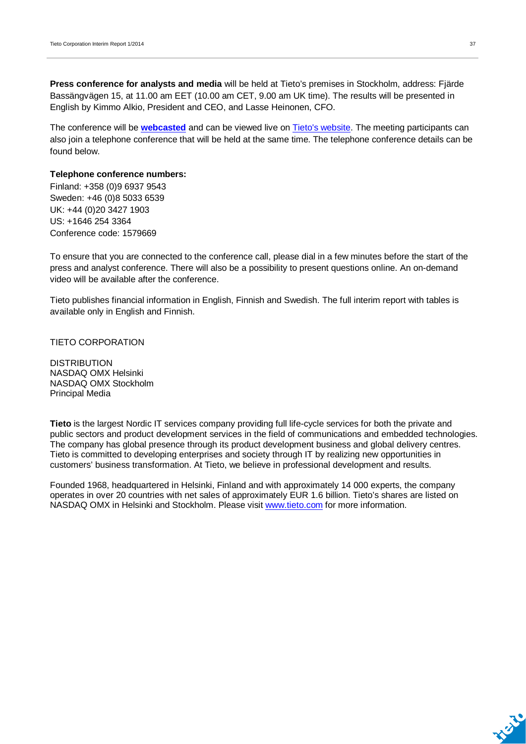**Press conference for analysts and media** will be held at Tieto's premises in Stockholm, address: Fjärde Bassängvägen 15, at 11.00 am EET (10.00 am CET, 9.00 am UK time). The results will be presented in English by Kimmo Alkio, President and CEO, and Lasse Heinonen, CFO.

The conference will be **[webcasted](http://webcast.tieto.com/QuarterlyReport/?q=250414)** and can be viewed live on [Tieto's website.](http://www.tieto.com/investors) The meeting participants can also join a telephone conference that will be held at the same time. The telephone conference details can be found below.

### **Telephone conference numbers:**

Finland: +358 (0)9 6937 9543 Sweden: +46 (0)8 5033 6539 UK: +44 (0)20 3427 1903 US: +1646 254 3364 Conference code: 1579669

To ensure that you are connected to the conference call, please dial in a few minutes before the start of the press and analyst conference. There will also be a possibility to present questions online. An on-demand video will be available after the conference.

Tieto publishes financial information in English, Finnish and Swedish. The full interim report with tables is available only in English and Finnish.

TIETO CORPORATION

DISTRIBUTION NASDAQ OMX Helsinki NASDAQ OMX Stockholm Principal Media

**Tieto** is the largest Nordic IT services company providing full life-cycle services for both the private and public sectors and product development services in the field of communications and embedded technologies. The company has global presence through its product development business and global delivery centres. Tieto is committed to developing enterprises and society through IT by realizing new opportunities in customers' business transformation. At Tieto, we believe in professional development and results.

Founded 1968, headquartered in Helsinki, Finland and with approximately 14 000 experts, the company operates in over 20 countries with net sales of approximately EUR 1.6 billion. Tieto's shares are listed on NASDAQ OMX in Helsinki and Stockholm. Please visit [www.tieto.com](http://www.tieto.com/) for more information.